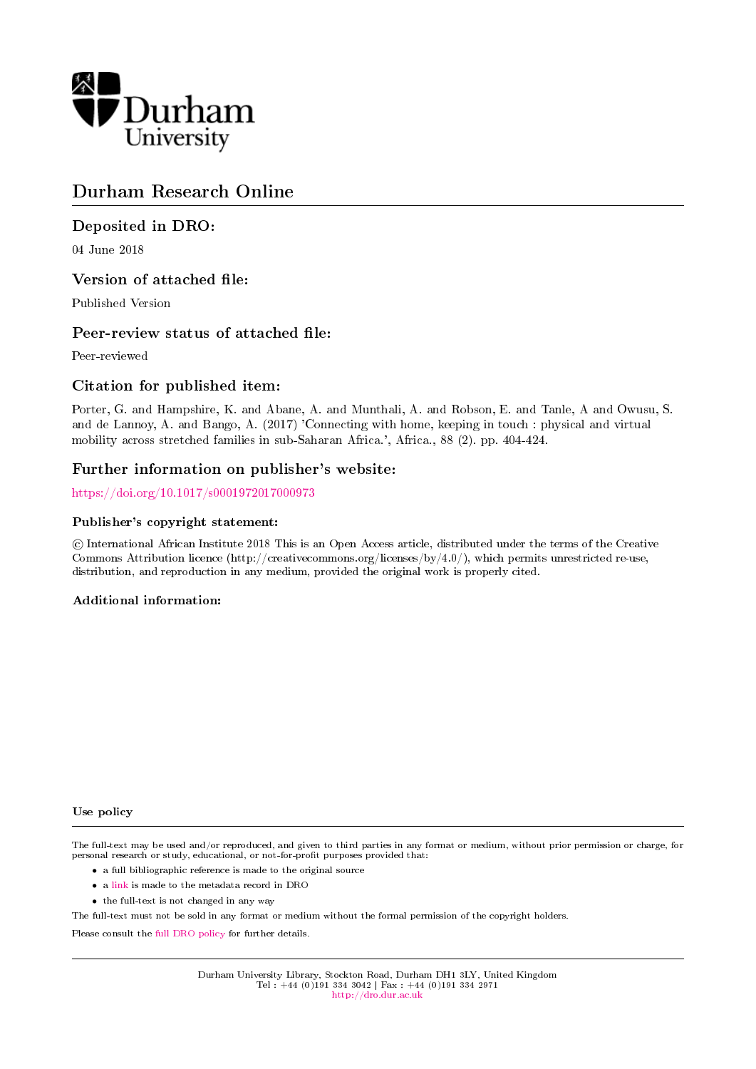

# Durham Research Online

# Deposited in DRO:

04 June 2018

# Version of attached file:

Published Version

# Peer-review status of attached file:

Peer-reviewed

# Citation for published item:

Porter, G. and Hampshire, K. and Abane, A. and Munthali, A. and Robson, E. and Tanle, A and Owusu, S. and de Lannoy, A. and Bango, A. (2017) 'Connecting with home, keeping in touch : physical and virtual mobility across stretched families in sub-Saharan Africa.', Africa., 88 (2). pp. 404-424.

# Further information on publisher's website:

<https://doi.org/10.1017/s0001972017000973>

## Publisher's copyright statement:

 c International African Institute 2018 This is an Open Access article, distributed under the terms of the Creative Commons Attribution licence (http://creativecommons.org/licenses/by/4.0/), which permits unrestricted re-use, distribution, and reproduction in any medium, provided the original work is properly cited.

## Additional information:

#### Use policy

The full-text may be used and/or reproduced, and given to third parties in any format or medium, without prior permission or charge, for personal research or study, educational, or not-for-profit purposes provided that:

- a full bibliographic reference is made to the original source
- a [link](http://dro.dur.ac.uk/22077/) is made to the metadata record in DRO
- the full-text is not changed in any way

The full-text must not be sold in any format or medium without the formal permission of the copyright holders.

Please consult the [full DRO policy](http://dro.dur.ac.uk/policies/usepolicy.pdf) for further details.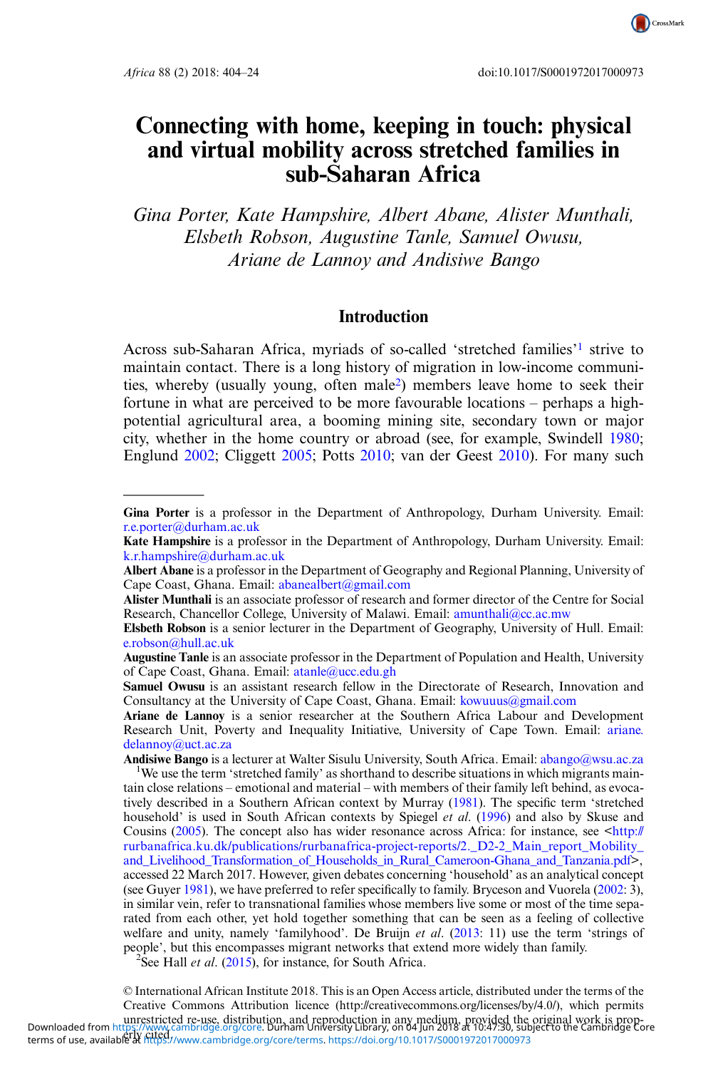CrossMark

# Connecting with home, keeping in touch: physical and virtual mobility across stretched families in sub-Saharan Africa

Gina Porter, Kate Hampshire, Albert Abane, Alister Munthali, Elsbeth Robson, Augustine Tanle, Samuel Owusu, Ariane de Lannoy and Andisiwe Bango

### **Introduction**

Across sub-Saharan Africa, myriads of so-called 'stretched families'<sup>1</sup> strive to maintain contact. There is a long history of migration in low-income communities, whereby (usually young, often male2) members leave home to seek their fortune in what are perceived to be more favourable locations – perhaps a highpotential agricultural area, a booming mining site, secondary town or major city, whether in the home country or abroad (see, for example, Swindell 1980; Englund 2002; Cliggett 2005; Potts 2010; van der Geest 2010). For many such

Gina Porter is a professor in the Department of Anthropology, Durham University. Email: [r.e.porter@durham.ac.uk](mailto:r.�e.�porter@durham.ac.uk)

Kate Hampshire is a professor in the Department of Anthropology, Durham University. Email: [k.r.hampshire@durham.ac.uk](mailto:k.�r.�hampshire@durham.ac.uk)

Albert Abane is a professor in the Department of Geography and Regional Planning, University of Cape Coast, Ghana. Email: [abanealbert@gmail.com](mailto:abanealbert@gmail.com)

Alister Munthali is an associate professor of research and former director of the Centre for Social Research, Chancellor College, University of Malawi. Email: [amunthali@cc.ac.mw](mailto:amunthali@cc.ac.mw)

Elsbeth Robson is a senior lecturer in the Department of Geography, University of Hull. Email: [e.robson@hull.ac.uk](mailto:e.�robson@hull.ac.uk)

Augustine Tanle is an associate professor in the Department of Population and Health, University of Cape Coast, Ghana. Email: [atanle@ucc.edu.gh](mailto:atanle@ucc.edu.gh)

Samuel Owusu is an assistant research fellow in the Directorate of Research, Innovation and Consultancy at the University of Cape Coast, Ghana. Email: [kowuuus@gmail.com](mailto:kowuuus@gmail.com)

Ariane de Lannoy is a senior researcher at the Southern Africa Labour and Development Research Unit, Poverty and Inequality Initiative, University of Cape Town. Email: [ariane.](mailto:ariane.delannoy�@uct.ac.za) [delannoy@uct.ac.za](mailto:ariane.delannoy�@uct.ac.za)

Andisiwe Bango is a lecturer at Walter Sisulu University, South Africa. Email: [abango@wsu.ac.za](mailto:abango@wsu.ac.za) <sup>1</sup>We use the term 'stretched family' as shorthand to describe situations in which migrants maintain close relations – emotional and material – with members of their family left behind, as evocatively described in a Southern African context by Murray (1981). The specific term 'stretched household' is used in South African contexts by Spiegel et al. (1996) and also by Skuse and Cousins (2005). The concept also has wider resonance across Africa: for instance, see  $\ltminus$ http:// [rurbanafrica.ku.dk/publications/rurbanafrica-project-reports/2.\\_D2-2\\_Main\\_report\\_Mobility\\_](http://rurbanafrica.ku.dk/publications/rurbanafrica-project-reports/2._D2-2_Main_report_Mobility_and_Livelihood_Transformation_of_Households_in_Rural_Cameroon-Ghana_and_Tanzania.pdf) [and\\_Livelihood\\_Transformation\\_of\\_Households\\_in\\_Rural\\_Cameroon-Ghana\\_and\\_Tanzania.pdf>](http://rurbanafrica.ku.dk/publications/rurbanafrica-project-reports/2._D2-2_Main_report_Mobility_and_Livelihood_Transformation_of_Households_in_Rural_Cameroon-Ghana_and_Tanzania.pdf), accessed 22 March 2017. However, given debates concerning 'household' as an analytical concept (see Guyer 1981), we have preferred to refer specifically to family. Bryceson and Vuorela (2002: 3), in similar vein, refer to transnational families whose members live some or most of the time separated from each other, yet hold together something that can be seen as a feeling of collective welfare and unity, namely 'familyhood'. De Bruijn et al. (2013: 11) use the term 'strings of people', but this encompasses migrant networks that extend more widely than family. <sup>2</sup>

<sup>&</sup>lt;sup>2</sup>See Hall *et al.* (2015), for instance, for South Africa.

<sup>©</sup> International African Institute 2018. This is an Open Access article, distributed under the terms of the Creative Commons Attribution licence (http://creativecommons.org/licenses/by/4.0/), which permits [unrestricted re-use, distribut](https://www.cambridge.org/core)ion, and reproduction in any medium, provided the original work is prop-<br>Downloaded from https://www.cambridge.org/core. Durham University Library, on 04 Jun 2018 at 10:47:30, subject to the C erly cited. terms of use, available at [https://www.cambridge.org/core/terms.](https://www.cambridge.org/core/terms) <https://doi.org/10.1017/S0001972017000973>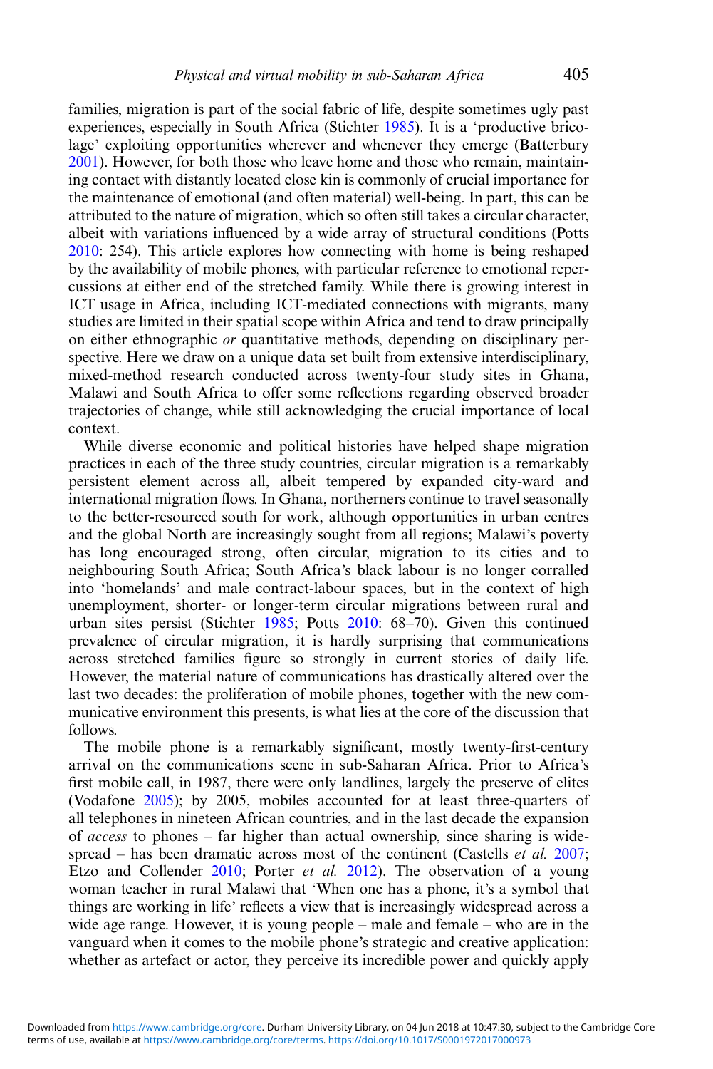families, migration is part of the social fabric of life, despite sometimes ugly past experiences, especially in South Africa (Stichter 1985). It is a 'productive bricolage' exploiting opportunities wherever and whenever they emerge (Batterbury 2001). However, for both those who leave home and those who remain, maintaining contact with distantly located close kin is commonly of crucial importance for the maintenance of emotional (and often material) well-being. In part, this can be attributed to the nature of migration, which so often still takes a circular character, albeit with variations influenced by a wide array of structural conditions (Potts 2010: 254). This article explores how connecting with home is being reshaped by the availability of mobile phones, with particular reference to emotional repercussions at either end of the stretched family. While there is growing interest in ICT usage in Africa, including ICT-mediated connections with migrants, many studies are limited in their spatial scope within Africa and tend to draw principally on either ethnographic *or* quantitative methods, depending on disciplinary perspective. Here we draw on a unique data set built from extensive interdisciplinary, mixed-method research conducted across twenty-four study sites in Ghana, Malawi and South Africa to offer some reflections regarding observed broader trajectories of change, while still acknowledging the crucial importance of local context.

While diverse economic and political histories have helped shape migration practices in each of the three study countries, circular migration is a remarkably persistent element across all, albeit tempered by expanded city-ward and international migration flows. In Ghana, northerners continue to travel seasonally to the better-resourced south for work, although opportunities in urban centres and the global North are increasingly sought from all regions; Malawi's poverty has long encouraged strong, often circular, migration to its cities and to neighbouring South Africa; South Africa's black labour is no longer corralled into 'homelands' and male contract-labour spaces, but in the context of high unemployment, shorter- or longer-term circular migrations between rural and urban sites persist (Stichter 1985; Potts 2010: 68–70). Given this continued prevalence of circular migration, it is hardly surprising that communications across stretched families figure so strongly in current stories of daily life. However, the material nature of communications has drastically altered over the last two decades: the proliferation of mobile phones, together with the new communicative environment this presents, is what lies at the core of the discussion that follows.

The mobile phone is a remarkably significant, mostly twenty-first-century arrival on the communications scene in sub-Saharan Africa. Prior to Africa's first mobile call, in 1987, there were only landlines, largely the preserve of elites (Vodafone 2005); by 2005, mobiles accounted for at least three-quarters of all telephones in nineteen African countries, and in the last decade the expansion of access to phones – far higher than actual ownership, since sharing is widespread – has been dramatic across most of the continent (Castells *et al.* 2007; Etzo and Collender 2010; Porter et al. 2012). The observation of a young woman teacher in rural Malawi that 'When one has a phone, it's a symbol that things are working in life' reflects a view that is increasingly widespread across a wide age range. However, it is young people – male and female – who are in the vanguard when it comes to the mobile phone's strategic and creative application: whether as artefact or actor, they perceive its incredible power and quickly apply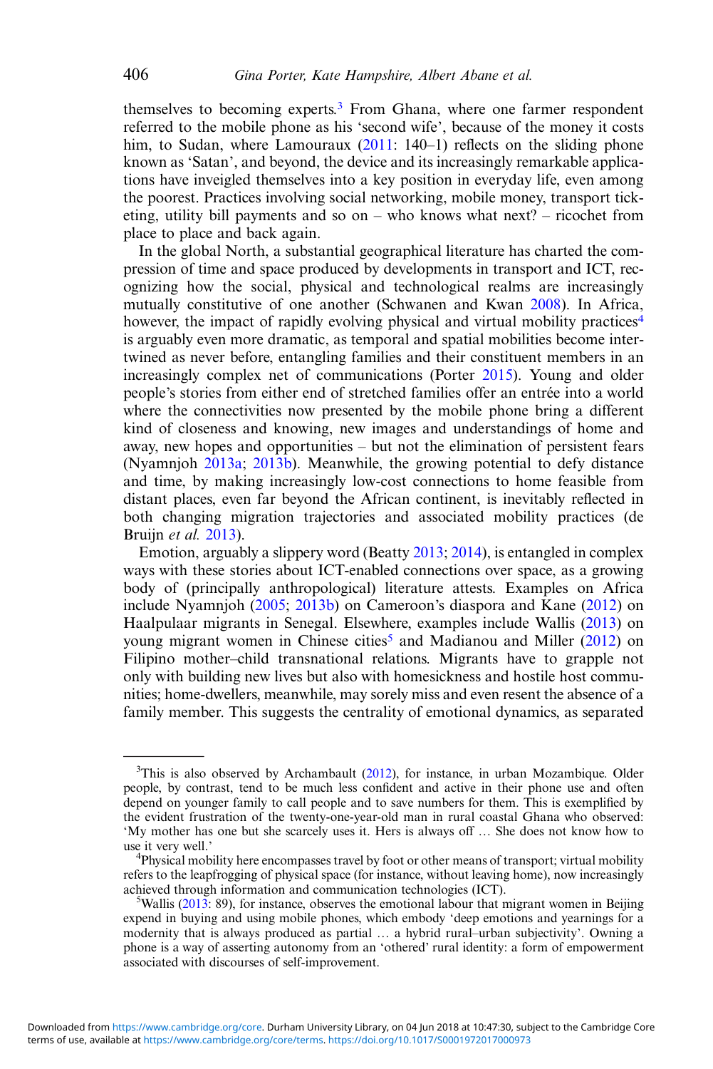themselves to becoming experts.<sup>3</sup> From Ghana, where one farmer respondent referred to the mobile phone as his 'second wife', because of the money it costs him, to Sudan, where Lamouraux (2011: 140–1) reflects on the sliding phone known as 'Satan', and beyond, the device and its increasingly remarkable applications have inveigled themselves into a key position in everyday life, even among the poorest. Practices involving social networking, mobile money, transport ticketing, utility bill payments and so on – who knows what next? – ricochet from place to place and back again.

In the global North, a substantial geographical literature has charted the compression of time and space produced by developments in transport and ICT, recognizing how the social, physical and technological realms are increasingly mutually constitutive of one another (Schwanen and Kwan 2008). In Africa, however, the impact of rapidly evolving physical and virtual mobility practices<sup>4</sup> is arguably even more dramatic, as temporal and spatial mobilities become intertwined as never before, entangling families and their constituent members in an increasingly complex net of communications (Porter 2015). Young and older people's stories from either end of stretched families offer an entrée into a world where the connectivities now presented by the mobile phone bring a different kind of closeness and knowing, new images and understandings of home and away, new hopes and opportunities – but not the elimination of persistent fears (Nyamnjoh 2013a; 2013b). Meanwhile, the growing potential to defy distance and time, by making increasingly low-cost connections to home feasible from distant places, even far beyond the African continent, is inevitably reflected in both changing migration trajectories and associated mobility practices (de Bruijn *et al.* 2013).

Emotion, arguably a slippery word (Beatty 2013; 2014), is entangled in complex ways with these stories about ICT-enabled connections over space, as a growing body of (principally anthropological) literature attests. Examples on Africa include Nyamnjoh (2005; 2013b) on Cameroon's diaspora and Kane (2012) on Haalpulaar migrants in Senegal. Elsewhere, examples include Wallis (2013) on young migrant women in Chinese cities<sup>5</sup> and Madianou and Miller (2012) on Filipino mother–child transnational relations. Migrants have to grapple not only with building new lives but also with homesickness and hostile host communities; home-dwellers, meanwhile, may sorely miss and even resent the absence of a family member. This suggests the centrality of emotional dynamics, as separated

<sup>&</sup>lt;sup>3</sup>This is also observed by Archambault (2012), for instance, in urban Mozambique. Older people, by contrast, tend to be much less confident and active in their phone use and often depend on younger family to call people and to save numbers for them. This is exemplified by the evident frustration of the twenty-one-year-old man in rural coastal Ghana who observed: 'My mother has one but she scarcely uses it. Hers is always off … She does not know how to use it very well.'

<sup>&</sup>lt;sup>4</sup>Physical mobility here encompasses travel by foot or other means of transport; virtual mobility refers to the leapfrogging of physical space (for instance, without leaving home), now increasingly achieved through information and communication technologies (ICT).

<sup>&</sup>lt;sup>5</sup>Wallis (2013: 89), for instance, observes the emotional labour that migrant women in Beijing expend in buying and using mobile phones, which embody 'deep emotions and yearnings for a modernity that is always produced as partial … a hybrid rural–urban subjectivity'. Owning a phone is a way of asserting autonomy from an 'othered' rural identity: a form of empowerment associated with discourses of self-improvement.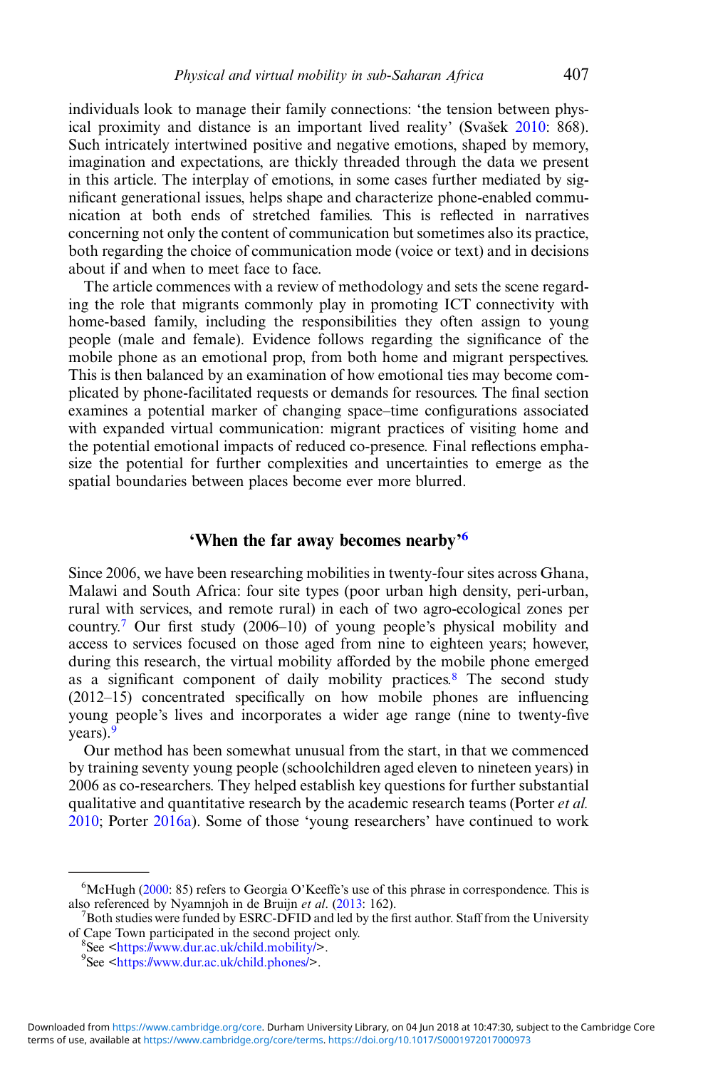individuals look to manage their family connections: 'the tension between physical proximity and distance is an important lived reality' (Svašek 2010: 868). Such intricately intertwined positive and negative emotions, shaped by memory, imagination and expectations, are thickly threaded through the data we present in this article. The interplay of emotions, in some cases further mediated by significant generational issues, helps shape and characterize phone-enabled communication at both ends of stretched families. This is reflected in narratives concerning not only the content of communication but sometimes also its practice, both regarding the choice of communication mode (voice or text) and in decisions about if and when to meet face to face.

The article commences with a review of methodology and sets the scene regarding the role that migrants commonly play in promoting ICT connectivity with home-based family, including the responsibilities they often assign to young people (male and female). Evidence follows regarding the significance of the mobile phone as an emotional prop, from both home and migrant perspectives. This is then balanced by an examination of how emotional ties may become complicated by phone-facilitated requests or demands for resources. The final section examines a potential marker of changing space–time configurations associated with expanded virtual communication: migrant practices of visiting home and the potential emotional impacts of reduced co-presence. Final reflections emphasize the potential for further complexities and uncertainties to emerge as the spatial boundaries between places become ever more blurred.

#### 'When the far away becomes nearby'<sup>6</sup>

Since 2006, we have been researching mobilities in twenty-four sites across Ghana, Malawi and South Africa: four site types (poor urban high density, peri-urban, rural with services, and remote rural) in each of two agro-ecological zones per country.7 Our first study (2006–10) of young people's physical mobility and access to services focused on those aged from nine to eighteen years; however, during this research, the virtual mobility afforded by the mobile phone emerged as a significant component of daily mobility practices.<sup>8</sup> The second study (2012–15) concentrated specifically on how mobile phones are influencing young people's lives and incorporates a wider age range (nine to twenty-five years).<sup>9</sup>

Our method has been somewhat unusual from the start, in that we commenced by training seventy young people (schoolchildren aged eleven to nineteen years) in 2006 as co-researchers. They helped establish key questions for further substantial qualitative and quantitative research by the academic research teams (Porter et al. 2010; Porter 2016a). Some of those 'young researchers' have continued to work

<sup>&</sup>lt;sup>6</sup>McHugh (2000: 85) refers to Georgia O'Keeffe's use of this phrase in correspondence. This is also referenced by Nyamnjoh in de Bruijn et al. (2013: 162).

 $B$ oth studies were funded by ESRC-DFID and led by the first author. Staff from the University of Cape Town participated in the second project only. <sup>8</sup>

 ${}^{8}$ See <<https://www.dur.ac.uk/child.mobility/>>.

See <[https://www.dur.ac.uk/child.phones/>](https://www.dur.ac.uk/child.phones/).

terms of use, available at [https://www.cambridge.org/core/terms.](https://www.cambridge.org/core/terms) <https://doi.org/10.1017/S0001972017000973> Downloaded from [https://www.cambridge.org/core.](https://www.cambridge.org/core) Durham University Library, on 04 Jun 2018 at 10:47:30, subject to the Cambridge Core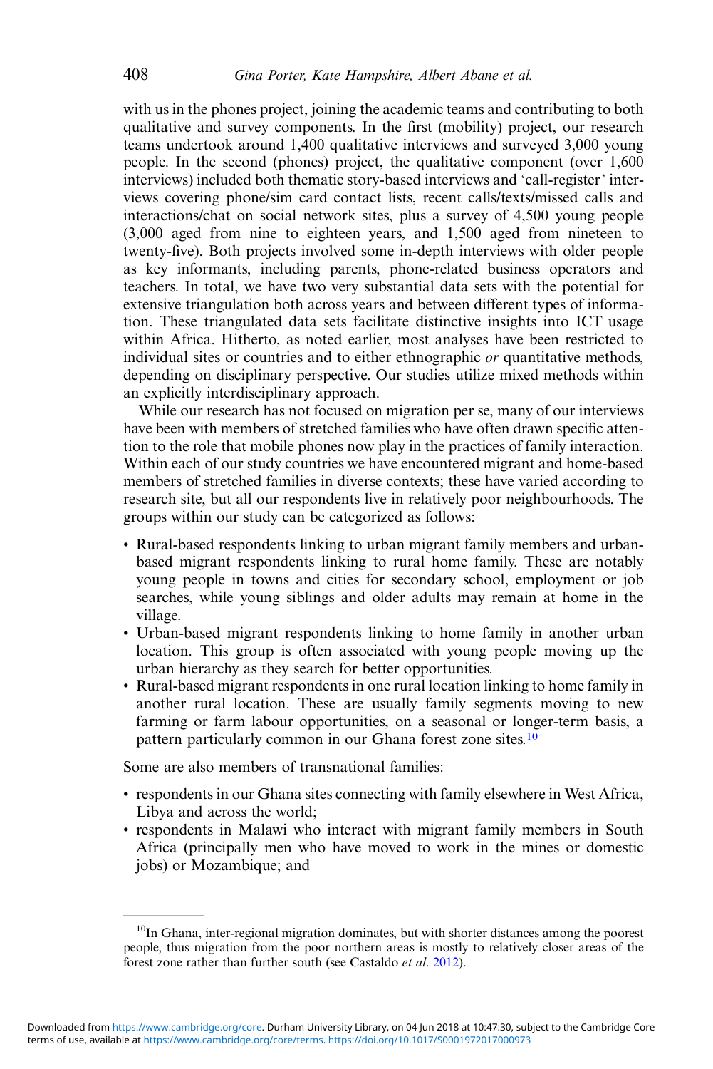with us in the phones project, joining the academic teams and contributing to both qualitative and survey components. In the first (mobility) project, our research teams undertook around 1,400 qualitative interviews and surveyed 3,000 young people. In the second (phones) project, the qualitative component (over 1,600 interviews) included both thematic story-based interviews and 'call-register' interviews covering phone/sim card contact lists, recent calls/texts/missed calls and interactions/chat on social network sites, plus a survey of 4,500 young people (3,000 aged from nine to eighteen years, and 1,500 aged from nineteen to twenty-five). Both projects involved some in-depth interviews with older people as key informants, including parents, phone-related business operators and teachers. In total, we have two very substantial data sets with the potential for extensive triangulation both across years and between different types of information. These triangulated data sets facilitate distinctive insights into ICT usage within Africa. Hitherto, as noted earlier, most analyses have been restricted to individual sites or countries and to either ethnographic *or* quantitative methods, depending on disciplinary perspective. Our studies utilize mixed methods within an explicitly interdisciplinary approach.

While our research has not focused on migration per se, many of our interviews have been with members of stretched families who have often drawn specific attention to the role that mobile phones now play in the practices of family interaction. Within each of our study countries we have encountered migrant and home-based members of stretched families in diverse contexts; these have varied according to research site, but all our respondents live in relatively poor neighbourhoods. The groups within our study can be categorized as follows:

- Rural-based respondents linking to urban migrant family members and urbanbased migrant respondents linking to rural home family. These are notably young people in towns and cities for secondary school, employment or job searches, while young siblings and older adults may remain at home in the village.
- Urban-based migrant respondents linking to home family in another urban location. This group is often associated with young people moving up the urban hierarchy as they search for better opportunities.
- Rural-based migrant respondents in one rural location linking to home family in another rural location. These are usually family segments moving to new farming or farm labour opportunities, on a seasonal or longer-term basis, a pattern particularly common in our Ghana forest zone sites.10

Some are also members of transnational families:

- respondents in our Ghana sites connecting with family elsewhere in West Africa, Libya and across the world;
- respondents in Malawi who interact with migrant family members in South Africa (principally men who have moved to work in the mines or domestic jobs) or Mozambique; and

<sup>&</sup>lt;sup>10</sup>In Ghana, inter-regional migration dominates, but with shorter distances among the poorest people, thus migration from the poor northern areas is mostly to relatively closer areas of the forest zone rather than further south (see Castaldo et al. 2012).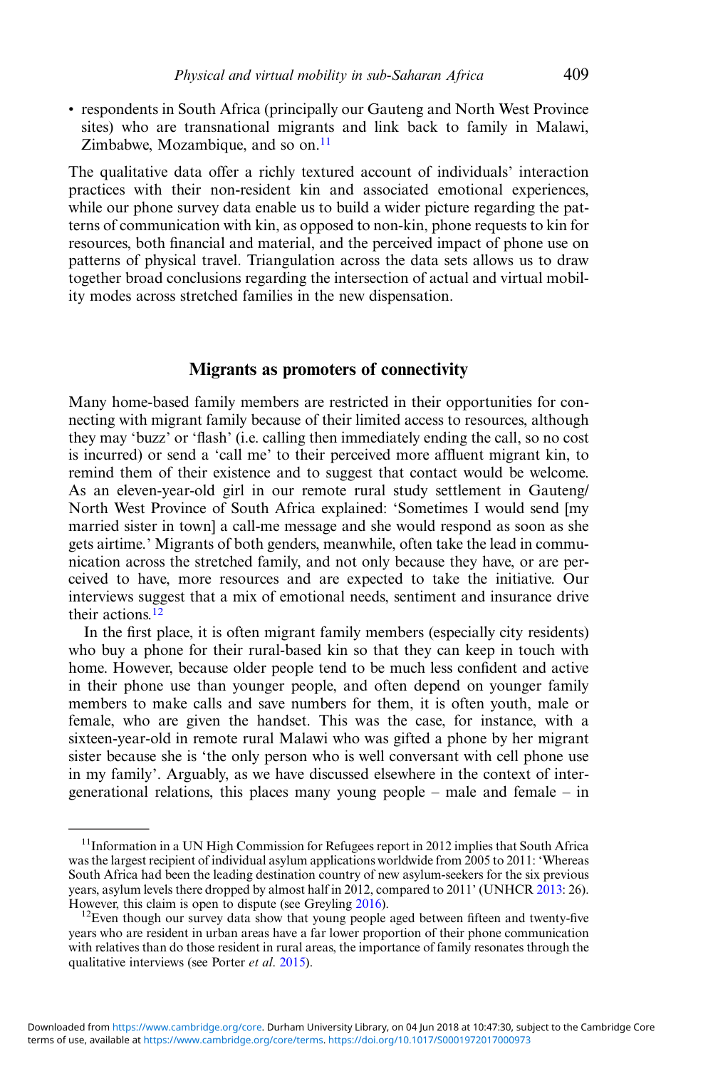• respondents in South Africa (principally our Gauteng and North West Province sites) who are transnational migrants and link back to family in Malawi, Zimbabwe, Mozambique, and so on.<sup>11</sup>

The qualitative data offer a richly textured account of individuals' interaction practices with their non-resident kin and associated emotional experiences, while our phone survey data enable us to build a wider picture regarding the patterns of communication with kin, as opposed to non-kin, phone requests to kin for resources, both financial and material, and the perceived impact of phone use on patterns of physical travel. Triangulation across the data sets allows us to draw together broad conclusions regarding the intersection of actual and virtual mobility modes across stretched families in the new dispensation.

#### Migrants as promoters of connectivity

Many home-based family members are restricted in their opportunities for connecting with migrant family because of their limited access to resources, although they may 'buzz' or 'flash' (i.e. calling then immediately ending the call, so no cost is incurred) or send a 'call me' to their perceived more affluent migrant kin, to remind them of their existence and to suggest that contact would be welcome. As an eleven-year-old girl in our remote rural study settlement in Gauteng/ North West Province of South Africa explained: 'Sometimes I would send [my married sister in town] a call-me message and she would respond as soon as she gets airtime.' Migrants of both genders, meanwhile, often take the lead in communication across the stretched family, and not only because they have, or are perceived to have, more resources and are expected to take the initiative. Our interviews suggest that a mix of emotional needs, sentiment and insurance drive their actions<sup>12</sup>

In the first place, it is often migrant family members (especially city residents) who buy a phone for their rural-based kin so that they can keep in touch with home. However, because older people tend to be much less confident and active in their phone use than younger people, and often depend on younger family members to make calls and save numbers for them, it is often youth, male or female, who are given the handset. This was the case, for instance, with a sixteen-year-old in remote rural Malawi who was gifted a phone by her migrant sister because she is 'the only person who is well conversant with cell phone use in my family'. Arguably, as we have discussed elsewhere in the context of intergenerational relations, this places many young people – male and female – in

<sup>&</sup>lt;sup>11</sup>Information in a UN High Commission for Refugees report in 2012 implies that South Africa was the largest recipient of individual asylum applications worldwide from 2005 to 2011: 'Whereas South Africa had been the leading destination country of new asylum-seekers for the six previous years, asylum levels there dropped by almost half in 2012, compared to 2011' (UNHCR 2013: 26).<br>However, this claim is open to dispute (see Greyling 2016).

 $12$  Even though our survey data show that young people aged between fifteen and twenty-five years who are resident in urban areas have a far lower proportion of their phone communication with relatives than do those resident in rural areas, the importance of family resonates through the qualitative interviews (see Porter *et al.* 2015).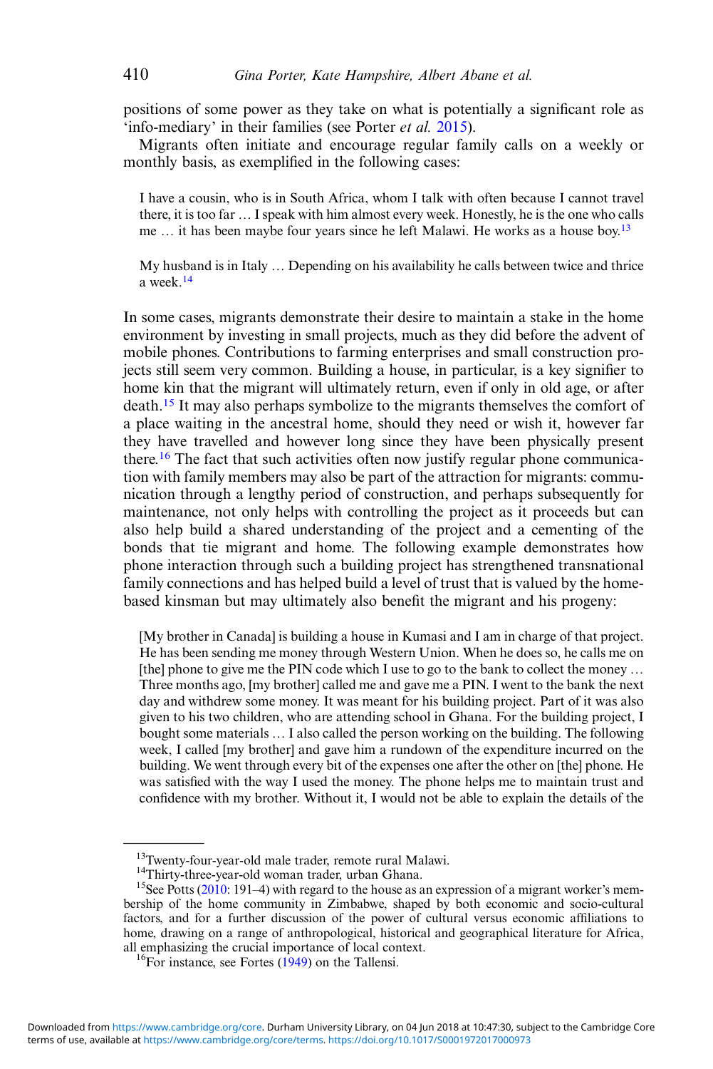positions of some power as they take on what is potentially a significant role as 'info-mediary' in their families (see Porter et al. 2015).

Migrants often initiate and encourage regular family calls on a weekly or monthly basis, as exemplified in the following cases:

I have a cousin, who is in South Africa, whom I talk with often because I cannot travel there, it is too far … I speak with him almost every week. Honestly, he is the one who calls me ... it has been maybe four years since he left Malawi. He works as a house boy.<sup>13</sup>

My husband is in Italy … Depending on his availability he calls between twice and thrice a week  $14$ 

In some cases, migrants demonstrate their desire to maintain a stake in the home environment by investing in small projects, much as they did before the advent of mobile phones. Contributions to farming enterprises and small construction projects still seem very common. Building a house, in particular, is a key signifier to home kin that the migrant will ultimately return, even if only in old age, or after death.<sup>15</sup> It may also perhaps symbolize to the migrants themselves the comfort of a place waiting in the ancestral home, should they need or wish it, however far they have travelled and however long since they have been physically present there.<sup>16</sup> The fact that such activities often now justify regular phone communication with family members may also be part of the attraction for migrants: communication through a lengthy period of construction, and perhaps subsequently for maintenance, not only helps with controlling the project as it proceeds but can also help build a shared understanding of the project and a cementing of the bonds that tie migrant and home. The following example demonstrates how phone interaction through such a building project has strengthened transnational family connections and has helped build a level of trust that is valued by the homebased kinsman but may ultimately also benefit the migrant and his progeny:

[My brother in Canada] is building a house in Kumasi and I am in charge of that project. He has been sending me money through Western Union. When he does so, he calls me on [the] phone to give me the PIN code which I use to go to the bank to collect the money ... Three months ago, [my brother] called me and gave me a PIN. I went to the bank the next day and withdrew some money. It was meant for his building project. Part of it was also given to his two children, who are attending school in Ghana. For the building project, I bought some materials … I also called the person working on the building. The following week, I called [my brother] and gave him a rundown of the expenditure incurred on the building. We went through every bit of the expenses one after the other on [the] phone. He was satisfied with the way I used the money. The phone helps me to maintain trust and confidence with my brother. Without it, I would not be able to explain the details of the

<sup>&</sup>lt;sup>13</sup>Twenty-four-year-old male trader, remote rural Malawi.<br><sup>14</sup>Thirty-three-year-old woman trader, urban Ghana.<br><sup>15</sup>See Potts (2010: 191–4) with regard to the house as an expression of a migrant worker's membership of the home community in Zimbabwe, shaped by both economic and socio-cultural factors, and for a further discussion of the power of cultural versus economic affiliations to home, drawing on a range of anthropological, historical and geographical literature for Africa, all emphasizing the crucial importance of local context.

 $16$ For instance, see Fortes (1949) on the Tallensi.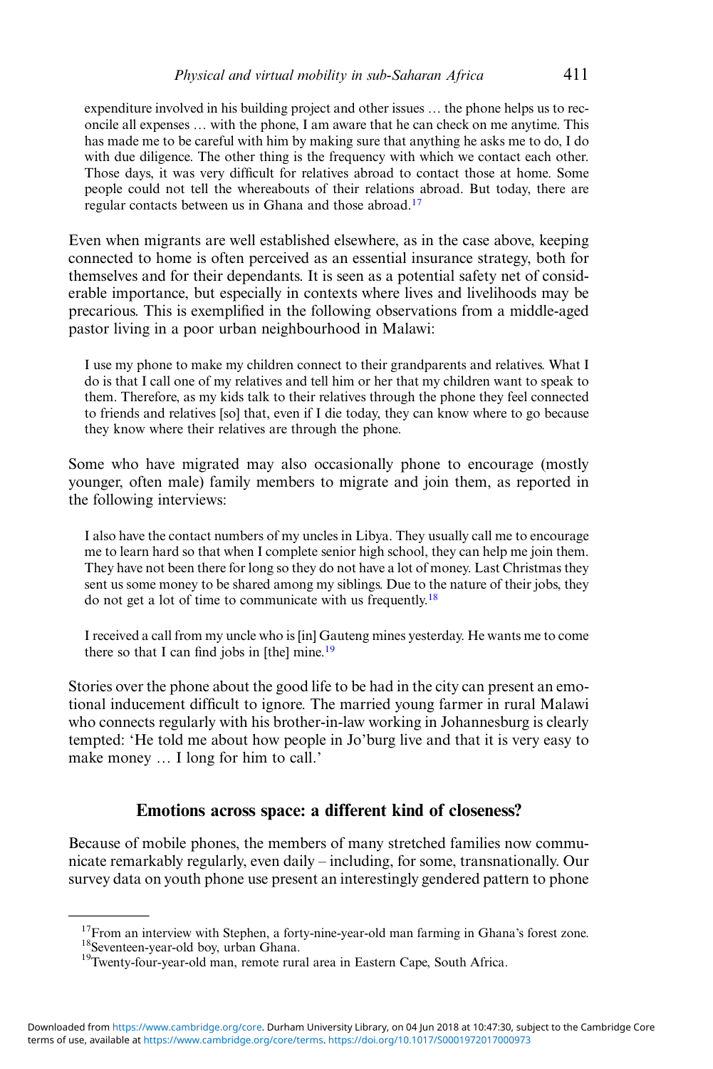expenditure involved in his building project and other issues … the phone helps us to reconcile all expenses … with the phone, I am aware that he can check on me anytime. This has made me to be careful with him by making sure that anything he asks me to do, I do with due diligence. The other thing is the frequency with which we contact each other. Those days, it was very difficult for relatives abroad to contact those at home. Some people could not tell the whereabouts of their relations abroad. But today, there are regular contacts between us in Ghana and those abroad.<sup>17</sup>

Even when migrants are well established elsewhere, as in the case above, keeping connected to home is often perceived as an essential insurance strategy, both for themselves and for their dependants. It is seen as a potential safety net of considerable importance, but especially in contexts where lives and livelihoods may be precarious. This is exemplified in the following observations from a middle-aged pastor living in a poor urban neighbourhood in Malawi:

I use my phone to make my children connect to their grandparents and relatives. What I do is that I call one of my relatives and tell him or her that my children want to speak to them. Therefore, as my kids talk to their relatives through the phone they feel connected to friends and relatives [so] that, even if I die today, they can know where to go because they know where their relatives are through the phone.

Some who have migrated may also occasionally phone to encourage (mostly younger, often male) family members to migrate and join them, as reported in the following interviews:

I also have the contact numbers of my uncles in Libya. They usually call me to encourage me to learn hard so that when I complete senior high school, they can help me join them. They have not been there for long so they do not have a lot of money. Last Christmas they sent us some money to be shared among my siblings. Due to the nature of their jobs, they do not get a lot of time to communicate with us frequently.<sup>18</sup>

I received a call from my uncle who is [in] Gauteng mines yesterday. He wants me to come there so that I can find jobs in [the] mine.<sup>19</sup>

Stories over the phone about the good life to be had in the city can present an emotional inducement difficult to ignore. The married young farmer in rural Malawi who connects regularly with his brother-in-law working in Johannesburg is clearly tempted: 'He told me about how people in Jo'burg live and that it is very easy to make money ... I long for him to call.'

## Emotions across space: a different kind of closeness?

Because of mobile phones, the members of many stretched families now communicate remarkably regularly, even daily – including, for some, transnationally. Our survey data on youth phone use present an interestingly gendered pattern to phone

<sup>&</sup>lt;sup>17</sup>From an interview with Stephen, a forty-nine-year-old man farming in Ghana's forest zone. <sup>18</sup>Seventeen-year-old boy, urban Ghana. 19Twenty-four-year-old man, remote rural area in Eastern Cape, South Africa.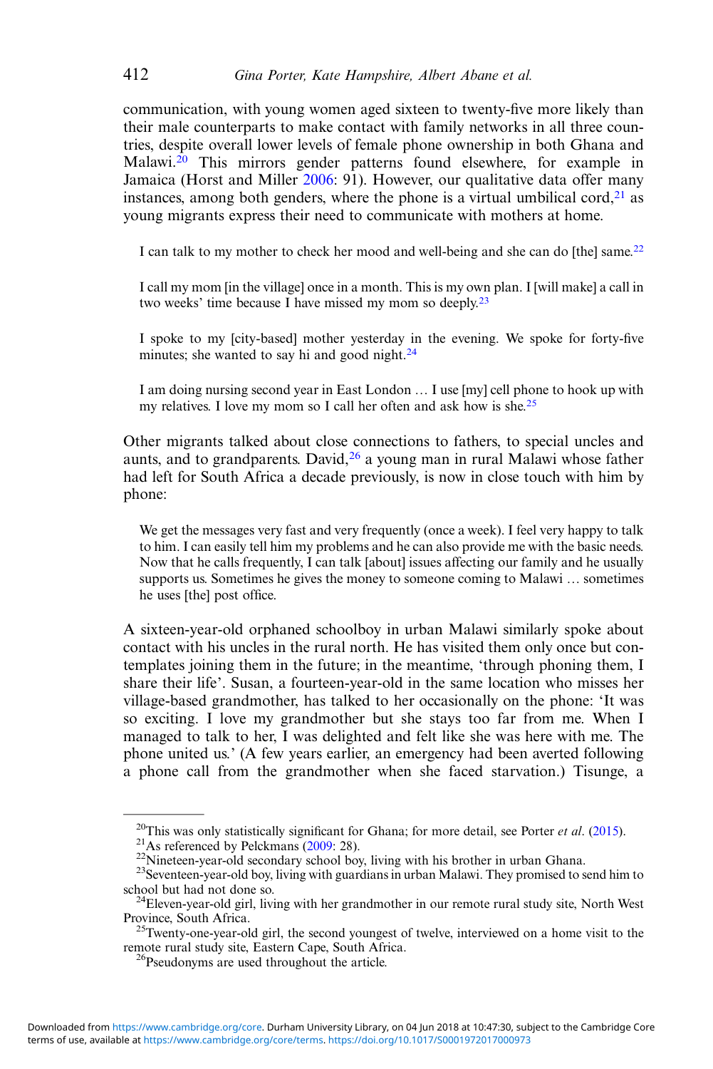communication, with young women aged sixteen to twenty-five more likely than their male counterparts to make contact with family networks in all three countries, despite overall lower levels of female phone ownership in both Ghana and Malawi.<sup>20</sup> This mirrors gender patterns found elsewhere, for example in Jamaica (Horst and Miller 2006: 91). However, our qualitative data offer many instances, among both genders, where the phone is a virtual umbilical cord, $21$  as young migrants express their need to communicate with mothers at home.

I can talk to my mother to check her mood and well-being and she can do [the] same.<sup>22</sup>

I call my mom [in the village] once in a month. This is my own plan. I [will make] a call in two weeks' time because I have missed my mom so deeply.<sup>23</sup>

I spoke to my [city-based] mother yesterday in the evening. We spoke for forty-five minutes; she wanted to say hi and good night.<sup>24</sup>

I am doing nursing second year in East London … I use [my] cell phone to hook up with my relatives. I love my mom so I call her often and ask how is she.25

Other migrants talked about close connections to fathers, to special uncles and aunts, and to grandparents. David,  $26$  a young man in rural Malawi whose father had left for South Africa a decade previously, is now in close touch with him by phone:

We get the messages very fast and very frequently (once a week). I feel very happy to talk to him. I can easily tell him my problems and he can also provide me with the basic needs. Now that he calls frequently, I can talk [about] issues affecting our family and he usually supports us. Sometimes he gives the money to someone coming to Malawi … sometimes he uses [the] post office.

A sixteen-year-old orphaned schoolboy in urban Malawi similarly spoke about contact with his uncles in the rural north. He has visited them only once but contemplates joining them in the future; in the meantime, 'through phoning them, I share their life'. Susan, a fourteen-year-old in the same location who misses her village-based grandmother, has talked to her occasionally on the phone: 'It was so exciting. I love my grandmother but she stays too far from me. When I managed to talk to her, I was delighted and felt like she was here with me. The phone united us.' (A few years earlier, an emergency had been averted following a phone call from the grandmother when she faced starvation.) Tisunge, a

<sup>&</sup>lt;sup>20</sup>This was only statistically significant for Ghana; for more detail, see Porter *et al.* (2015).<br><sup>21</sup>As referenced by Pelckmans (2009: 28).<br><sup>22</sup>Nineteen-year-old secondary school boy, living with his brother in urban G

 $^{24}$ Eleven-year-old girl, living with her grandmother in our remote rural study site, North West Province, South Africa.

 $^{25}$ Twenty-one-year-old girl, the second youngest of twelve, interviewed on a home visit to the remote rural study site, Eastern Cape, South Africa.

 $26$ Pseudonyms are used throughout the article.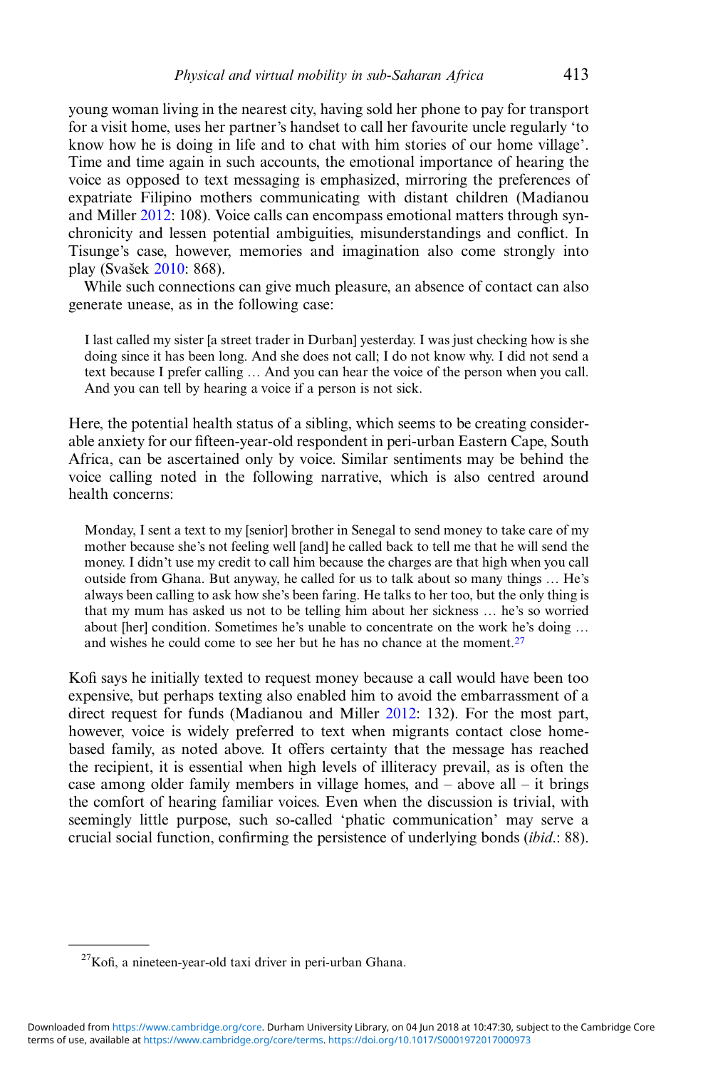young woman living in the nearest city, having sold her phone to pay for transport for a visit home, uses her partner's handset to call her favourite uncle regularly 'to know how he is doing in life and to chat with him stories of our home village'. Time and time again in such accounts, the emotional importance of hearing the voice as opposed to text messaging is emphasized, mirroring the preferences of expatriate Filipino mothers communicating with distant children (Madianou and Miller 2012: 108). Voice calls can encompass emotional matters through synchronicity and lessen potential ambiguities, misunderstandings and conflict. In Tisunge's case, however, memories and imagination also come strongly into play (Svašek 2010: 868).

While such connections can give much pleasure, an absence of contact can also generate unease, as in the following case:

I last called my sister [a street trader in Durban] yesterday. I was just checking how is she doing since it has been long. And she does not call; I do not know why. I did not send a text because I prefer calling … And you can hear the voice of the person when you call. And you can tell by hearing a voice if a person is not sick.

Here, the potential health status of a sibling, which seems to be creating considerable anxiety for our fifteen-year-old respondent in peri-urban Eastern Cape, South Africa, can be ascertained only by voice. Similar sentiments may be behind the voice calling noted in the following narrative, which is also centred around health concerns:

Monday, I sent a text to my [senior] brother in Senegal to send money to take care of my mother because she's not feeling well [and] he called back to tell me that he will send the money. I didn't use my credit to call him because the charges are that high when you call outside from Ghana. But anyway, he called for us to talk about so many things … He's always been calling to ask how she's been faring. He talks to her too, but the only thing is that my mum has asked us not to be telling him about her sickness … he's so worried about [her] condition. Sometimes he's unable to concentrate on the work he's doing … and wishes he could come to see her but he has no chance at the moment.<sup>27</sup>

Kofi says he initially texted to request money because a call would have been too expensive, but perhaps texting also enabled him to avoid the embarrassment of a direct request for funds (Madianou and Miller 2012: 132). For the most part, however, voice is widely preferred to text when migrants contact close homebased family, as noted above. It offers certainty that the message has reached the recipient, it is essential when high levels of illiteracy prevail, as is often the case among older family members in village homes, and – above all – it brings the comfort of hearing familiar voices. Even when the discussion is trivial, with seemingly little purpose, such so-called 'phatic communication' may serve a crucial social function, confirming the persistence of underlying bonds (ibid.: 88).

<sup>27</sup>Kofi, a nineteen-year-old taxi driver in peri-urban Ghana.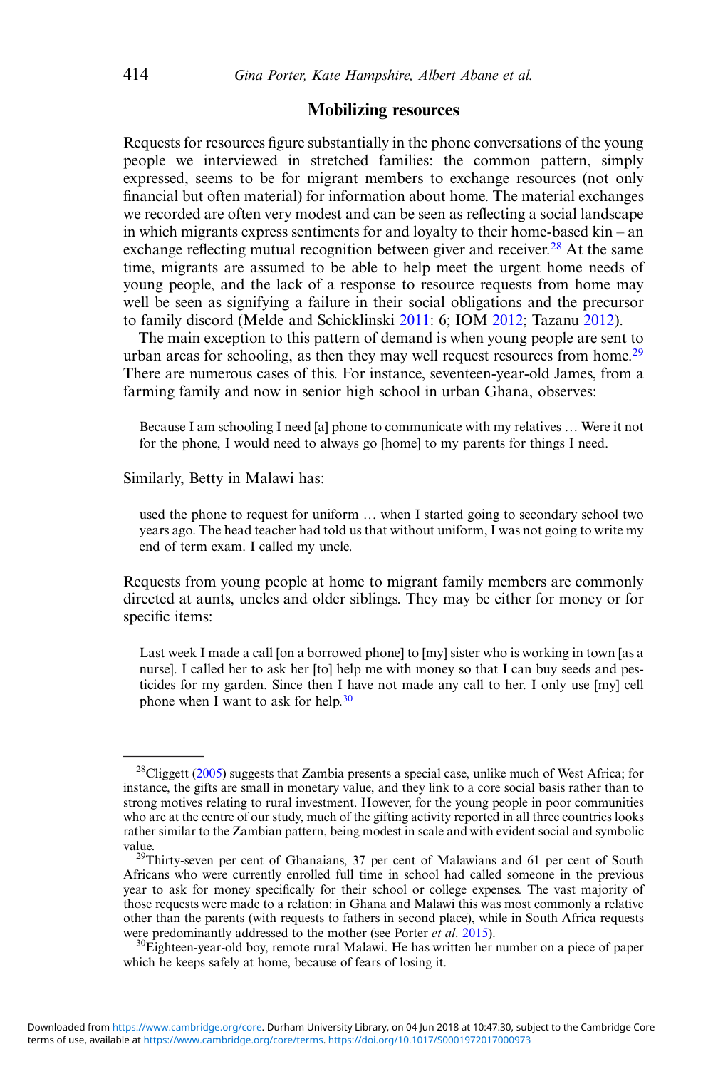### Mobilizing resources

Requests for resources figure substantially in the phone conversations of the young people we interviewed in stretched families: the common pattern, simply expressed, seems to be for migrant members to exchange resources (not only financial but often material) for information about home. The material exchanges we recorded are often very modest and can be seen as reflecting a social landscape in which migrants express sentiments for and loyalty to their home-based  $\sin - \hat{a}n$ exchange reflecting mutual recognition between giver and receiver.<sup>28</sup> At the same time, migrants are assumed to be able to help meet the urgent home needs of young people, and the lack of a response to resource requests from home may well be seen as signifying a failure in their social obligations and the precursor to family discord (Melde and Schicklinski 2011: 6: IOM 2012; Tazanu 2012).

The main exception to this pattern of demand is when young people are sent to urban areas for schooling, as then they may well request resources from home.29 There are numerous cases of this. For instance, seventeen-year-old James, from a farming family and now in senior high school in urban Ghana, observes:

Because I am schooling I need [a] phone to communicate with my relatives … Were it not for the phone, I would need to always go [home] to my parents for things I need.

#### Similarly, Betty in Malawi has:

used the phone to request for uniform … when I started going to secondary school two years ago. The head teacher had told us that without uniform, I was not going to write my end of term exam. I called my uncle.

Requests from young people at home to migrant family members are commonly directed at aunts, uncles and older siblings. They may be either for money or for specific items:

Last week I made a call [on a borrowed phone] to [my] sister who is working in town [as a nurse]. I called her to ask her [to] help me with money so that I can buy seeds and pesticides for my garden. Since then I have not made any call to her. I only use [my] cell phone when I want to ask for help.30

<sup>&</sup>lt;sup>28</sup>Cliggett ( $2005$ ) suggests that Zambia presents a special case, unlike much of West Africa; for instance, the gifts are small in monetary value, and they link to a core social basis rather than to strong motives relating to rural investment. However, for the young people in poor communities who are at the centre of our study, much of the gifting activity reported in all three countries looks rather similar to the Zambian pattern, being modest in scale and with evident social and symbolic value.<br><sup>29</sup>Thirty-seven per cent of Ghanaians, 37 per cent of Malawians and 61 per cent of South

Africans who were currently enrolled full time in school had called someone in the previous year to ask for money specifically for their school or college expenses. The vast majority of those requests were made to a relation: in Ghana and Malawi this was most commonly a relative other than the parents (with requests to fathers in second place), while in South Africa requests were predominantly addressed to the mother (see Porter *et al.* 2015).

<sup>&</sup>lt;sup>30</sup>Eighteen-year-old boy, remote rural Malawi. He has written her number on a piece of paper which he keeps safely at home, because of fears of losing it.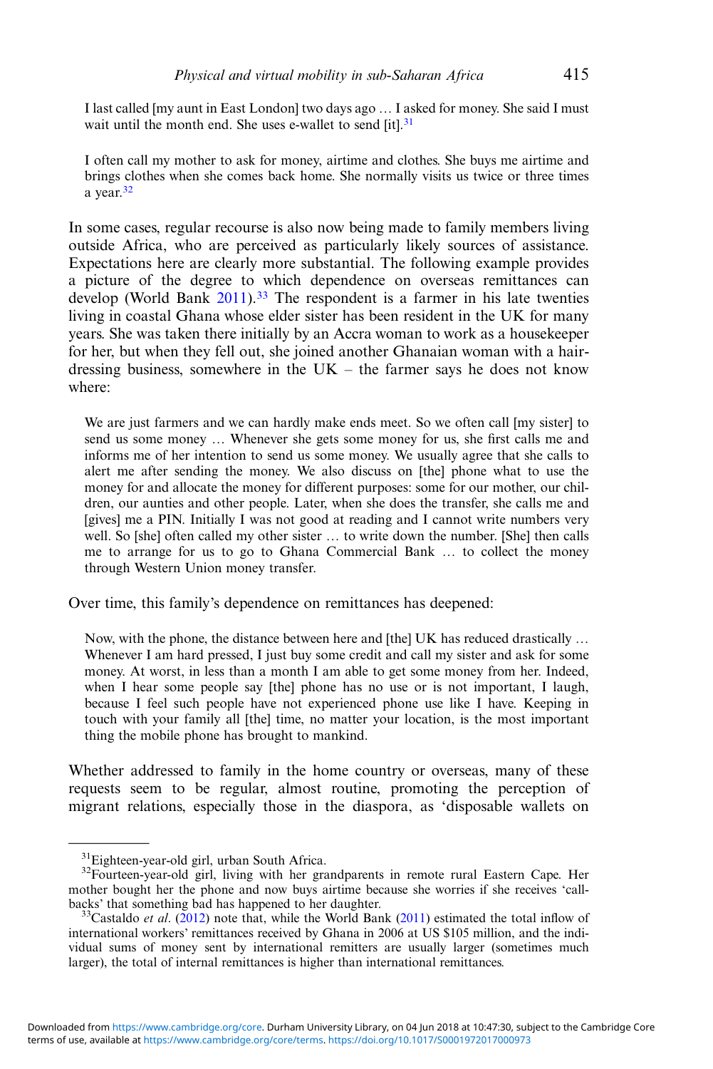I last called [my aunt in East London] two days ago … I asked for money. She said I must wait until the month end. She uses e-wallet to send [it].<sup>31</sup>

I often call my mother to ask for money, airtime and clothes. She buys me airtime and brings clothes when she comes back home. She normally visits us twice or three times a year.<sup>32</sup>

In some cases, regular recourse is also now being made to family members living outside Africa, who are perceived as particularly likely sources of assistance. Expectations here are clearly more substantial. The following example provides a picture of the degree to which dependence on overseas remittances can develop (World Bank  $2011$ ).<sup>33</sup> The respondent is a farmer in his late twenties living in coastal Ghana whose elder sister has been resident in the UK for many years. She was taken there initially by an Accra woman to work as a housekeeper for her, but when they fell out, she joined another Ghanaian woman with a hairdressing business, somewhere in the  $UK -$  the farmer says he does not know where:

We are just farmers and we can hardly make ends meet. So we often call [my sister] to send us some money … Whenever she gets some money for us, she first calls me and informs me of her intention to send us some money. We usually agree that she calls to alert me after sending the money. We also discuss on [the] phone what to use the money for and allocate the money for different purposes: some for our mother, our children, our aunties and other people. Later, when she does the transfer, she calls me and [gives] me a PIN. Initially I was not good at reading and I cannot write numbers very well. So [she] often called my other sister … to write down the number. [She] then calls me to arrange for us to go to Ghana Commercial Bank … to collect the money through Western Union money transfer.

Over time, this family's dependence on remittances has deepened:

Now, with the phone, the distance between here and [the] UK has reduced drastically … Whenever I am hard pressed, I just buy some credit and call my sister and ask for some money. At worst, in less than a month I am able to get some money from her. Indeed, when I hear some people say [the] phone has no use or is not important, I laugh, because I feel such people have not experienced phone use like I have. Keeping in touch with your family all [the] time, no matter your location, is the most important thing the mobile phone has brought to mankind.

Whether addressed to family in the home country or overseas, many of these requests seem to be regular, almost routine, promoting the perception of migrant relations, especially those in the diaspora, as 'disposable wallets on

 $31$ Eighteen-year-old girl, urban South Africa.<br> $32$ Fourteen-year-old girl, living with her grandparents in remote rural Eastern Cape. Her mother bought her the phone and now buys airtime because she worries if she receives 'call-<br>backs' that something bad has happened to her daughter.

 $b^{33}$ Castaldo *et al.* (2012) note that, while the World Bank (2011) estimated the total inflow of international workers' remittances received by Ghana in 2006 at US \$105 million, and the individual sums of money sent by international remitters are usually larger (sometimes much larger), the total of internal remittances is higher than international remittances.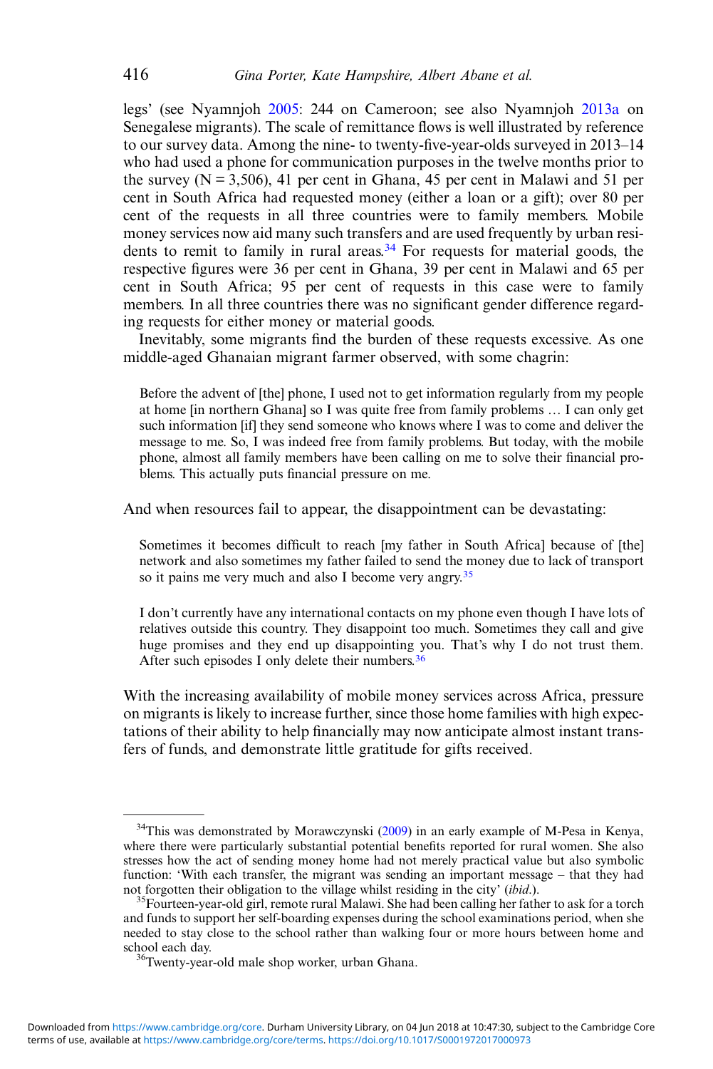legs' (see Nyamnjoh 2005: 244 on Cameroon; see also Nyamnjoh 2013a on Senegalese migrants). The scale of remittance flows is well illustrated by reference to our survey data. Among the nine- to twenty-five-year-olds surveyed in 2013–14 who had used a phone for communication purposes in the twelve months prior to the survey  $(N = 3,506)$ , 41 per cent in Ghana, 45 per cent in Malawi and 51 per cent in South Africa had requested money (either a loan or a gift); over 80 per cent of the requests in all three countries were to family members. Mobile money services now aid many such transfers and are used frequently by urban residents to remit to family in rural areas.<sup>34</sup> For requests for material goods, the respective figures were 36 per cent in Ghana, 39 per cent in Malawi and 65 per cent in South Africa; 95 per cent of requests in this case were to family members. In all three countries there was no significant gender difference regarding requests for either money or material goods.

Inevitably, some migrants find the burden of these requests excessive. As one middle-aged Ghanaian migrant farmer observed, with some chagrin:

Before the advent of [the] phone, I used not to get information regularly from my people at home [in northern Ghana] so I was quite free from family problems … I can only get such information [if] they send someone who knows where I was to come and deliver the message to me. So, I was indeed free from family problems. But today, with the mobile phone, almost all family members have been calling on me to solve their financial problems. This actually puts financial pressure on me.

And when resources fail to appear, the disappointment can be devastating:

Sometimes it becomes difficult to reach [my father in South Africa] because of [the] network and also sometimes my father failed to send the money due to lack of transport so it pains me very much and also I become very angry.<sup>35</sup>

I don't currently have any international contacts on my phone even though I have lots of relatives outside this country. They disappoint too much. Sometimes they call and give huge promises and they end up disappointing you. That's why I do not trust them. After such episodes I only delete their numbers.<sup>36</sup>

With the increasing availability of mobile money services across Africa, pressure on migrants is likely to increase further, since those home families with high expectations of their ability to help financially may now anticipate almost instant transfers of funds, and demonstrate little gratitude for gifts received.

 $34$ This was demonstrated by Morawczynski (2009) in an early example of M-Pesa in Kenya, where there were particularly substantial potential benefits reported for rural women. She also stresses how the act of sending money home had not merely practical value but also symbolic function: 'With each transfer, the migrant was sending an important message – that they had not forgotten their obligation to the village whilst residing in the city' (ibid.).

 $35$ Fourteen-year-old girl, remote rural Malawi. She had been calling her father to ask for a torch and funds to support her self-boarding expenses during the school examinations period, when she needed to stay close to the school rather than walking four or more hours between home and school each day.

<sup>&</sup>lt;sup>36</sup>Twenty-year-old male shop worker, urban Ghana.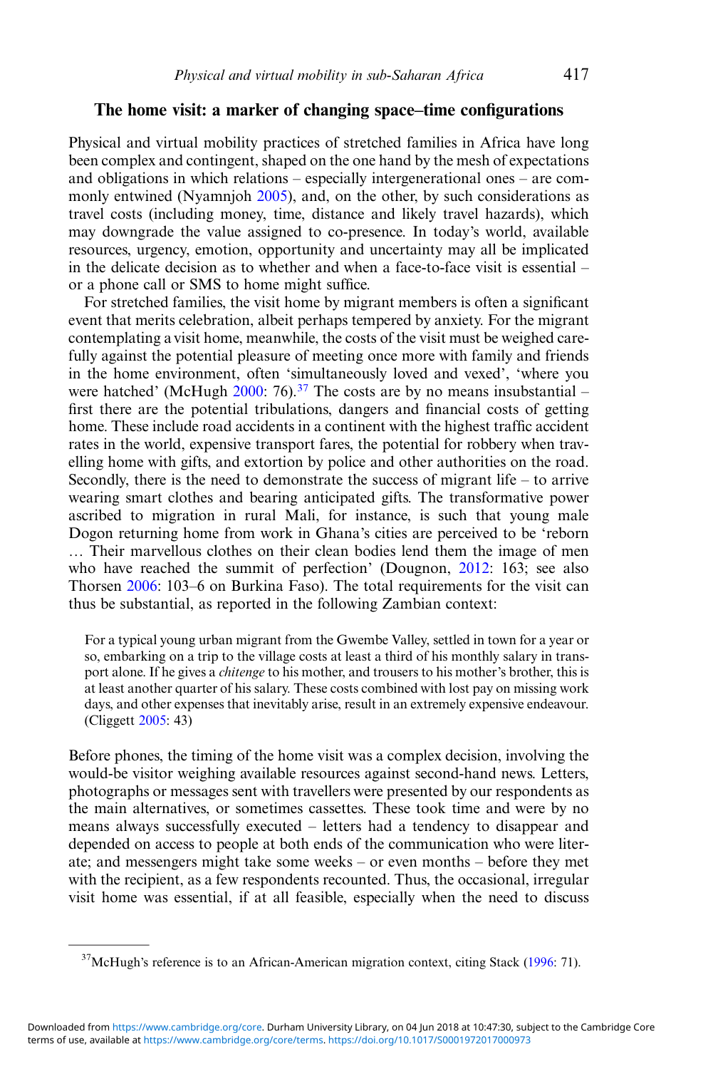#### The home visit: a marker of changing space–time configurations

Physical and virtual mobility practices of stretched families in Africa have long been complex and contingent, shaped on the one hand by the mesh of expectations and obligations in which relations – especially intergenerational ones – are commonly entwined (Nyamnjoh 2005), and, on the other, by such considerations as travel costs (including money, time, distance and likely travel hazards), which may downgrade the value assigned to co-presence. In today's world, available resources, urgency, emotion, opportunity and uncertainty may all be implicated in the delicate decision as to whether and when a face-to-face visit is essential – or a phone call or SMS to home might suffice.

For stretched families, the visit home by migrant members is often a significant event that merits celebration, albeit perhaps tempered by anxiety. For the migrant contemplating a visit home, meanwhile, the costs of the visit must be weighed carefully against the potential pleasure of meeting once more with family and friends in the home environment, often 'simultaneously loved and vexed', 'where you were hatched' (McHugh  $2000$ : 76).<sup>37</sup> The costs are by no means insubstantial – first there are the potential tribulations, dangers and financial costs of getting home. These include road accidents in a continent with the highest traffic accident rates in the world, expensive transport fares, the potential for robbery when travelling home with gifts, and extortion by police and other authorities on the road. Secondly, there is the need to demonstrate the success of migrant life – to arrive wearing smart clothes and bearing anticipated gifts. The transformative power ascribed to migration in rural Mali, for instance, is such that young male Dogon returning home from work in Ghana's cities are perceived to be 'reborn … Their marvellous clothes on their clean bodies lend them the image of men who have reached the summit of perfection' (Dougnon, 2012: 163; see also Thorsen 2006: 103–6 on Burkina Faso). The total requirements for the visit can thus be substantial, as reported in the following Zambian context:

For a typical young urban migrant from the Gwembe Valley, settled in town for a year or so, embarking on a trip to the village costs at least a third of his monthly salary in transport alone. If he gives a *chitenge* to his mother, and trousers to his mother's brother, this is at least another quarter of his salary. These costs combined with lost pay on missing work days, and other expenses that inevitably arise, result in an extremely expensive endeavour. (Cliggett 2005: 43)

Before phones, the timing of the home visit was a complex decision, involving the would-be visitor weighing available resources against second-hand news. Letters, photographs or messages sent with travellers were presented by our respondents as the main alternatives, or sometimes cassettes. These took time and were by no means always successfully executed – letters had a tendency to disappear and depended on access to people at both ends of the communication who were literate; and messengers might take some weeks – or even months – before they met with the recipient, as a few respondents recounted. Thus, the occasional, irregular visit home was essential, if at all feasible, especially when the need to discuss

<sup>&</sup>lt;sup>37</sup>McHugh's reference is to an African-American migration context, citing Stack (1996: 71).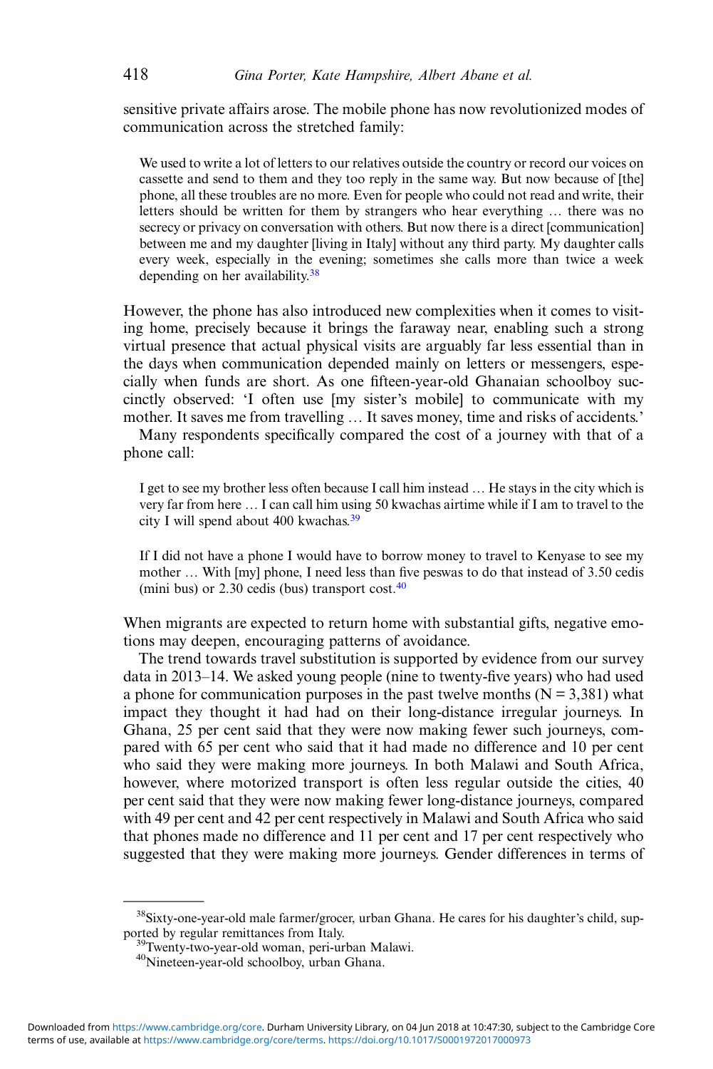sensitive private affairs arose. The mobile phone has now revolutionized modes of communication across the stretched family:

We used to write a lot of letters to our relatives outside the country or record our voices on cassette and send to them and they too reply in the same way. But now because of [the] phone, all these troubles are no more. Even for people who could not read and write, their letters should be written for them by strangers who hear everything … there was no secrecy or privacy on conversation with others. But now there is a direct [communication] between me and my daughter [living in Italy] without any third party. My daughter calls every week, especially in the evening; sometimes she calls more than twice a week depending on her availability.38

However, the phone has also introduced new complexities when it comes to visiting home, precisely because it brings the faraway near, enabling such a strong virtual presence that actual physical visits are arguably far less essential than in the days when communication depended mainly on letters or messengers, especially when funds are short. As one fifteen-year-old Ghanaian schoolboy succinctly observed: 'I often use [my sister's mobile] to communicate with my mother. It saves me from travelling … It saves money, time and risks of accidents.'

Many respondents specifically compared the cost of a journey with that of a phone call:

I get to see my brother less often because I call him instead … He stays in the city which is very far from here … I can call him using 50 kwachas airtime while if I am to travel to the city I will spend about 400 kwachas.<sup>39</sup>

If I did not have a phone I would have to borrow money to travel to Kenyase to see my mother … With [my] phone, I need less than five peswas to do that instead of 3.50 cedis (mini bus) or  $2.30$  cedis (bus) transport cost.<sup>40</sup>

When migrants are expected to return home with substantial gifts, negative emotions may deepen, encouraging patterns of avoidance.

The trend towards travel substitution is supported by evidence from our survey data in 2013–14. We asked young people (nine to twenty-five years) who had used a phone for communication purposes in the past twelve months  $(N = 3,381)$  what impact they thought it had had on their long-distance irregular journeys. In Ghana, 25 per cent said that they were now making fewer such journeys, compared with 65 per cent who said that it had made no difference and 10 per cent who said they were making more journeys. In both Malawi and South Africa, however, where motorized transport is often less regular outside the cities, 40 per cent said that they were now making fewer long-distance journeys, compared with 49 per cent and 42 per cent respectively in Malawi and South Africa who said that phones made no difference and 11 per cent and 17 per cent respectively who suggested that they were making more journeys. Gender differences in terms of

<sup>&</sup>lt;sup>38</sup>Sixty-one-year-old male farmer/grocer, urban Ghana. He cares for his daughter's child, supported by regular remittances from Italy.<br><sup>39</sup>Twenty-two-year-old woman, peri-urban Malawi.<br><sup>40</sup>Nineteen-year-old schoolboy, urban Ghana.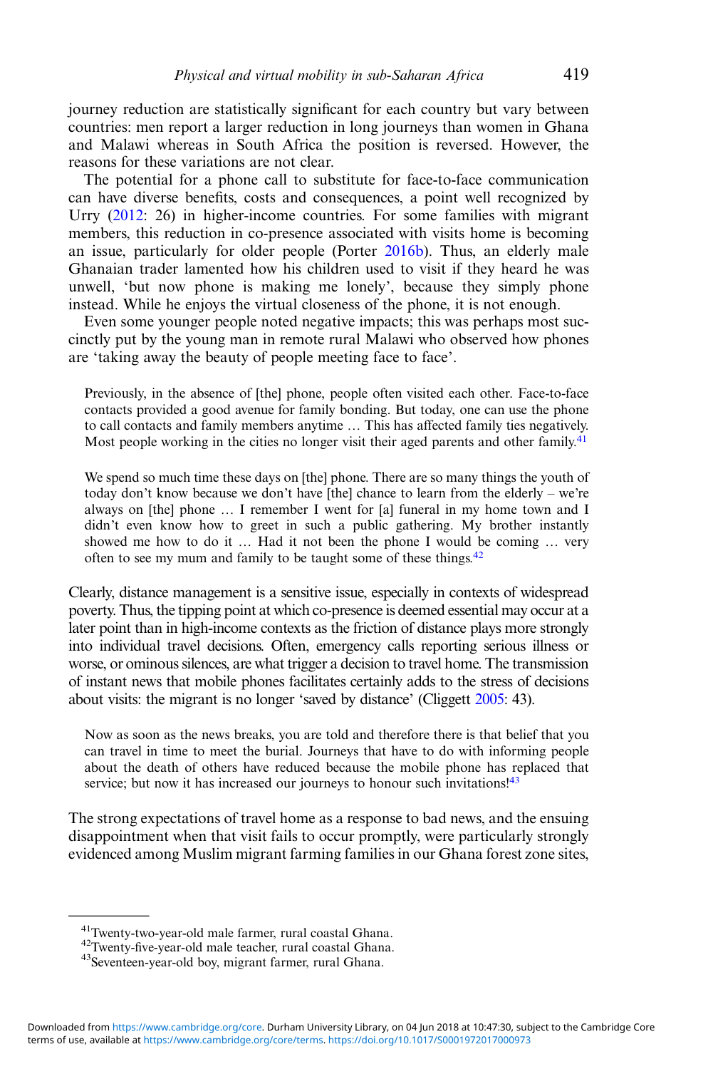journey reduction are statistically significant for each country but vary between countries: men report a larger reduction in long journeys than women in Ghana and Malawi whereas in South Africa the position is reversed. However, the reasons for these variations are not clear.

The potential for a phone call to substitute for face-to-face communication can have diverse benefits, costs and consequences, a point well recognized by Urry (2012: 26) in higher-income countries. For some families with migrant members, this reduction in co-presence associated with visits home is becoming an issue, particularly for older people (Porter 2016b). Thus, an elderly male Ghanaian trader lamented how his children used to visit if they heard he was unwell, 'but now phone is making me lonely', because they simply phone instead. While he enjoys the virtual closeness of the phone, it is not enough.

Even some younger people noted negative impacts; this was perhaps most succinctly put by the young man in remote rural Malawi who observed how phones are 'taking away the beauty of people meeting face to face'.

Previously, in the absence of [the] phone, people often visited each other. Face-to-face contacts provided a good avenue for family bonding. But today, one can use the phone to call contacts and family members anytime … This has affected family ties negatively. Most people working in the cities no longer visit their aged parents and other family.<sup>41</sup>

We spend so much time these days on [the] phone. There are so many things the youth of today don't know because we don't have [the] chance to learn from the elderly – we're always on [the] phone … I remember I went for [a] funeral in my home town and I didn't even know how to greet in such a public gathering. My brother instantly showed me how to do it … Had it not been the phone I would be coming … very often to see my mum and family to be taught some of these things.<sup>42</sup>

Clearly, distance management is a sensitive issue, especially in contexts of widespread poverty. Thus, the tipping point at which co-presence is deemed essential may occur at a later point than in high-income contexts as the friction of distance plays more strongly into individual travel decisions. Often, emergency calls reporting serious illness or worse, or ominous silences, are what trigger a decision to travel home. The transmission of instant news that mobile phones facilitates certainly adds to the stress of decisions about visits: the migrant is no longer 'saved by distance' (Cliggett 2005: 43).

Now as soon as the news breaks, you are told and therefore there is that belief that you can travel in time to meet the burial. Journeys that have to do with informing people about the death of others have reduced because the mobile phone has replaced that service; but now it has increased our journeys to honour such invitations! $43$ 

The strong expectations of travel home as a response to bad news, and the ensuing disappointment when that visit fails to occur promptly, were particularly strongly evidenced among Muslim migrant farming families in our Ghana forest zone sites,

<sup>&</sup>lt;sup>41</sup>Twenty-two-year-old male farmer, rural coastal Ghana.  $42$ Twenty-five-year-old male teacher, rural coastal Ghana.  $43$ Seventeen-year-old boy, migrant farmer, rural Ghana.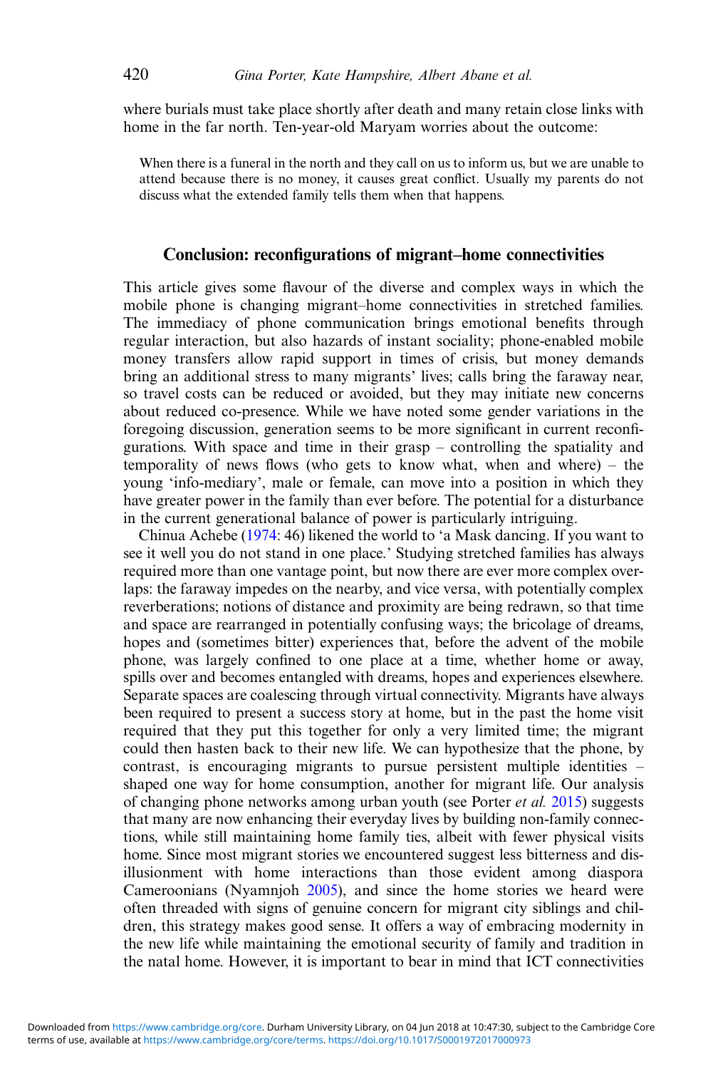where burials must take place shortly after death and many retain close links with home in the far north. Ten-year-old Maryam worries about the outcome:

When there is a funeral in the north and they call on us to inform us, but we are unable to attend because there is no money, it causes great conflict. Usually my parents do not discuss what the extended family tells them when that happens.

### Conclusion: reconfigurations of migrant–home connectivities

This article gives some flavour of the diverse and complex ways in which the mobile phone is changing migrant–home connectivities in stretched families. The immediacy of phone communication brings emotional benefits through regular interaction, but also hazards of instant sociality; phone-enabled mobile money transfers allow rapid support in times of crisis, but money demands bring an additional stress to many migrants' lives; calls bring the faraway near, so travel costs can be reduced or avoided, but they may initiate new concerns about reduced co-presence. While we have noted some gender variations in the foregoing discussion, generation seems to be more significant in current reconfigurations. With space and time in their grasp – controlling the spatiality and temporality of news flows (who gets to know what, when and where) – the young 'info-mediary', male or female, can move into a position in which they have greater power in the family than ever before. The potential for a disturbance in the current generational balance of power is particularly intriguing.

Chinua Achebe (1974: 46) likened the world to 'a Mask dancing. If you want to see it well you do not stand in one place.' Studying stretched families has always required more than one vantage point, but now there are ever more complex overlaps: the faraway impedes on the nearby, and vice versa, with potentially complex reverberations; notions of distance and proximity are being redrawn, so that time and space are rearranged in potentially confusing ways; the bricolage of dreams, hopes and (sometimes bitter) experiences that, before the advent of the mobile phone, was largely confined to one place at a time, whether home or away, spills over and becomes entangled with dreams, hopes and experiences elsewhere. Separate spaces are coalescing through virtual connectivity. Migrants have always been required to present a success story at home, but in the past the home visit required that they put this together for only a very limited time; the migrant could then hasten back to their new life. We can hypothesize that the phone, by contrast, is encouraging migrants to pursue persistent multiple identities – shaped one way for home consumption, another for migrant life. Our analysis of changing phone networks among urban youth (see Porter et al. 2015) suggests that many are now enhancing their everyday lives by building non-family connections, while still maintaining home family ties, albeit with fewer physical visits home. Since most migrant stories we encountered suggest less bitterness and disillusionment with home interactions than those evident among diaspora Cameroonians (Nyamnjoh 2005), and since the home stories we heard were often threaded with signs of genuine concern for migrant city siblings and children, this strategy makes good sense. It offers a way of embracing modernity in the new life while maintaining the emotional security of family and tradition in the natal home. However, it is important to bear in mind that ICT connectivities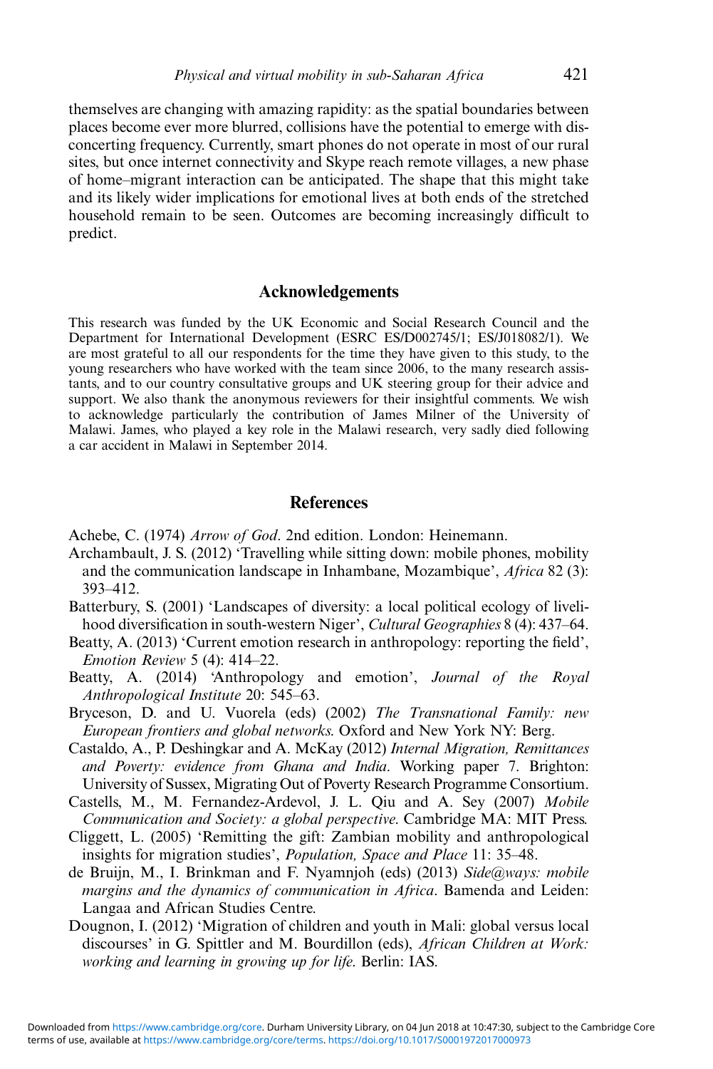themselves are changing with amazing rapidity: as the spatial boundaries between places become ever more blurred, collisions have the potential to emerge with disconcerting frequency. Currently, smart phones do not operate in most of our rural sites, but once internet connectivity and Skype reach remote villages, a new phase of home–migrant interaction can be anticipated. The shape that this might take and its likely wider implications for emotional lives at both ends of the stretched household remain to be seen. Outcomes are becoming increasingly difficult to predict.

#### Acknowledgements

This research was funded by the UK Economic and Social Research Council and the Department for International Development (ESRC ES/D002745/1; ES/J018082/1). We are most grateful to all our respondents for the time they have given to this study, to the young researchers who have worked with the team since 2006, to the many research assistants, and to our country consultative groups and UK steering group for their advice and support. We also thank the anonymous reviewers for their insightful comments. We wish to acknowledge particularly the contribution of James Milner of the University of Malawi. James, who played a key role in the Malawi research, very sadly died following a car accident in Malawi in September 2014.

### **References**

Achebe, C. (1974) Arrow of God. 2nd edition. London: Heinemann.

- Archambault, J. S. (2012) 'Travelling while sitting down: mobile phones, mobility and the communication landscape in Inhambane, Mozambique', Africa 82 (3): 393–412.
- Batterbury, S. (2001) 'Landscapes of diversity: a local political ecology of livelihood diversification in south-western Niger', Cultural Geographies 8 (4): 437–64.
- Beatty, A. (2013) 'Current emotion research in anthropology: reporting the field', Emotion Review 5 (4): 414–22.
- Beatty, A. (2014) 'Anthropology and emotion', Journal of the Royal Anthropological Institute 20: 545–63.
- Bryceson, D. and U. Vuorela (eds) (2002) The Transnational Family: new European frontiers and global networks. Oxford and New York NY: Berg.
- Castaldo, A., P. Deshingkar and A. McKay (2012) Internal Migration, Remittances and Poverty: evidence from Ghana and India. Working paper 7. Brighton: University of Sussex, Migrating Out of Poverty Research Programme Consortium.
- Castells, M., M. Fernandez-Ardevol, J. L. Qiu and A. Sey (2007) Mobile Communication and Society: a global perspective. Cambridge MA: MIT Press.
- Cliggett, L. (2005) 'Remitting the gift: Zambian mobility and anthropological insights for migration studies', Population, Space and Place 11: 35–48.
- de Bruijn, M., I. Brinkman and F. Nyamnjoh (eds) (2013) Side@ways: mobile margins and the dynamics of communication in Africa. Bamenda and Leiden: Langaa and African Studies Centre.
- Dougnon, I. (2012) 'Migration of children and youth in Mali: global versus local discourses' in G. Spittler and M. Bourdillon (eds), African Children at Work: working and learning in growing up for life. Berlin: IAS.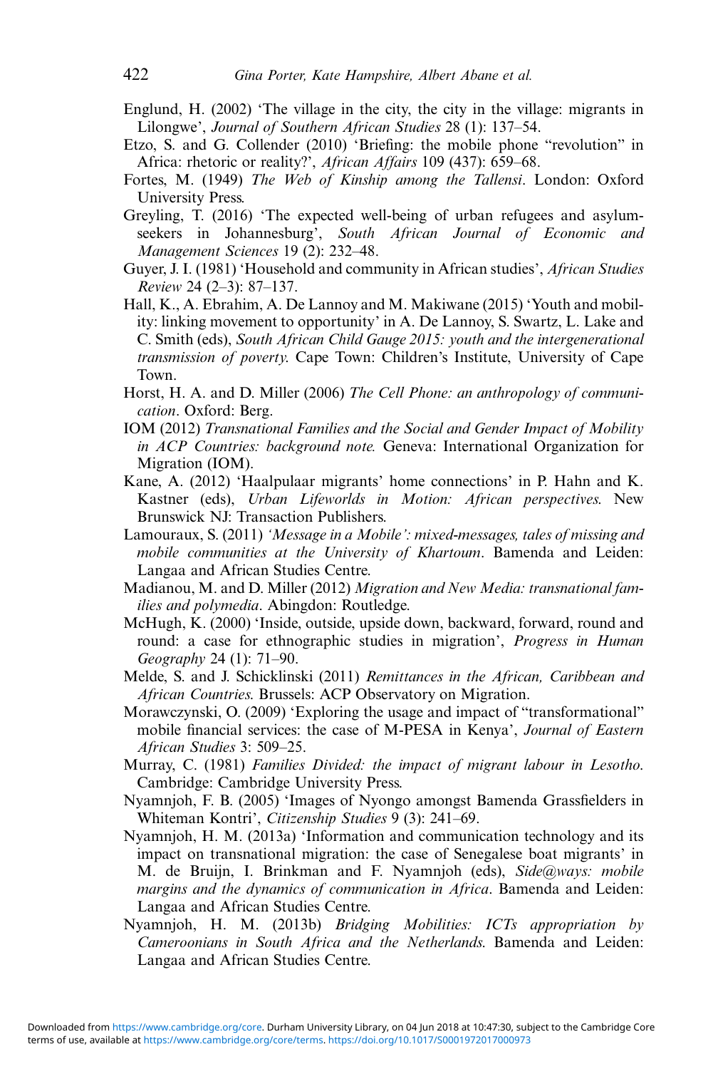- Englund, H. (2002) 'The village in the city, the city in the village: migrants in Lilongwe', Journal of Southern African Studies 28 (1): 137–54.
- Etzo, S. and G. Collender (2010) 'Briefing: the mobile phone "revolution" in Africa: rhetoric or reality?', African Affairs 109 (437): 659-68.
- Fortes, M. (1949) The Web of Kinship among the Tallensi. London: Oxford University Press.
- Greyling, T. (2016) 'The expected well-being of urban refugees and asylumseekers in Johannesburg', South African Journal of Economic and Management Sciences 19 (2): 232–48.
- Guyer, J. I. (1981) 'Household and community in African studies', *African Studies* Review 24 (2–3): 87–137.
- Hall, K., A. Ebrahim, A. De Lannoy and M. Makiwane (2015) 'Youth and mobility: linking movement to opportunity' in A. De Lannoy, S. Swartz, L. Lake and C. Smith (eds), South African Child Gauge 2015: youth and the intergenerational transmission of poverty. Cape Town: Children's Institute, University of Cape Town.
- Horst, H. A. and D. Miller (2006) The Cell Phone: an anthropology of communication. Oxford: Berg.
- IOM (2012) Transnational Families and the Social and Gender Impact of Mobility in ACP Countries: background note. Geneva: International Organization for Migration (IOM).
- Kane, A. (2012) 'Haalpulaar migrants' home connections' in P. Hahn and K. Kastner (eds), Urban Lifeworlds in Motion: African perspectives. New Brunswick NJ: Transaction Publishers.
- Lamouraux, S. (2011) 'Message in a Mobile': mixed-messages, tales of missing and mobile communities at the University of Khartoum. Bamenda and Leiden: Langaa and African Studies Centre.
- Madianou, M. and D. Miller (2012) Migration and New Media: transnational families and polymedia. Abingdon: Routledge.
- McHugh, K. (2000) 'Inside, outside, upside down, backward, forward, round and round: a case for ethnographic studies in migration', *Progress in Human* Geography 24 (1): 71–90.
- Melde, S. and J. Schicklinski (2011) Remittances in the African, Caribbean and African Countries. Brussels: ACP Observatory on Migration.
- Morawczynski, O. (2009) 'Exploring the usage and impact of "transformational" mobile financial services: the case of M-PESA in Kenya', Journal of Eastern African Studies 3: 509–25.
- Murray, C. (1981) Families Divided: the impact of migrant labour in Lesotho. Cambridge: Cambridge University Press.
- Nyamnjoh, F. B. (2005) 'Images of Nyongo amongst Bamenda Grassfielders in Whiteman Kontri', Citizenship Studies 9 (3): 241–69.
- Nyamnjoh, H. M. (2013a) 'Information and communication technology and its impact on transnational migration: the case of Senegalese boat migrants' in M. de Bruijn, I. Brinkman and F. Nyamnjoh (eds), Side@ways: mobile margins and the dynamics of communication in Africa. Bamenda and Leiden: Langaa and African Studies Centre.
- Nyamnjoh, H. M. (2013b) Bridging Mobilities: ICTs appropriation by Cameroonians in South Africa and the Netherlands. Bamenda and Leiden: Langaa and African Studies Centre.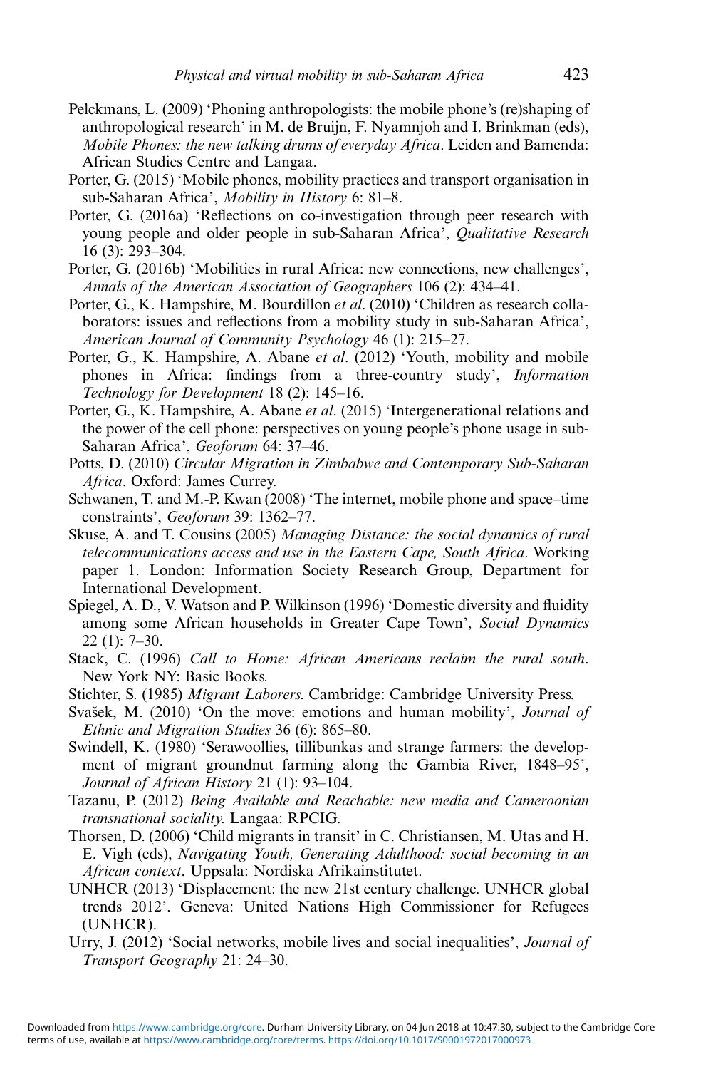- Pelckmans, L. (2009) 'Phoning anthropologists: the mobile phone's (re)shaping of anthropological research' in M. de Bruijn, F. Nyamnjoh and I. Brinkman (eds), Mobile Phones: the new talking drums of everyday Africa. Leiden and Bamenda: African Studies Centre and Langaa.
- Porter, G. (2015) 'Mobile phones, mobility practices and transport organisation in sub-Saharan Africa', Mobility in History 6: 81-8.
- Porter, G. (2016a) 'Reflections on co-investigation through peer research with young people and older people in sub-Saharan Africa', Qualitative Research 16 (3): 293–304.
- Porter, G. (2016b) 'Mobilities in rural Africa: new connections, new challenges', Annals of the American Association of Geographers 106 (2): 434–41.
- Porter, G., K. Hampshire, M. Bourdillon et al. (2010) 'Children as research collaborators: issues and reflections from a mobility study in sub-Saharan Africa', American Journal of Community Psychology 46 (1): 215–27.
- Porter, G., K. Hampshire, A. Abane et al. (2012) 'Youth, mobility and mobile phones in Africa: findings from a three-country study', Information Technology for Development 18 (2): 145–16.
- Porter, G., K. Hampshire, A. Abane *et al.* (2015) 'Intergenerational relations and the power of the cell phone: perspectives on young people's phone usage in sub-Saharan Africa', Geoforum 64: 37–46.
- Potts, D. (2010) Circular Migration in Zimbabwe and Contemporary Sub-Saharan Africa. Oxford: James Currey.
- Schwanen, T. and M.-P. Kwan (2008) 'The internet, mobile phone and space–time constraints', Geoforum 39: 1362–77.
- Skuse, A. and T. Cousins (2005) Managing Distance: the social dynamics of rural telecommunications access and use in the Eastern Cape, South Africa. Working paper 1. London: Information Society Research Group, Department for International Development.
- Spiegel, A. D., V. Watson and P. Wilkinson (1996) 'Domestic diversity and fluidity among some African households in Greater Cape Town', Social Dynamics 22 (1): 7–30.
- Stack, C. (1996) Call to Home: African Americans reclaim the rural south. New York NY: Basic Books.
- Stichter, S. (1985) Migrant Laborers. Cambridge: Cambridge University Press.
- Svašek, M. (2010) 'On the move: emotions and human mobility', Journal of Ethnic and Migration Studies 36 (6): 865–80.
- Swindell, K. (1980) 'Serawoollies, tillibunkas and strange farmers: the development of migrant groundnut farming along the Gambia River, 1848–95', Journal of African History 21 (1): 93–104.
- Tazanu, P. (2012) Being Available and Reachable: new media and Cameroonian transnational sociality. Langaa: RPCIG.
- Thorsen, D. (2006) 'Child migrants in transit' in C. Christiansen, M. Utas and H. E. Vigh (eds), Navigating Youth, Generating Adulthood: social becoming in an African context. Uppsala: Nordiska Afrikainstitutet.
- UNHCR (2013) 'Displacement: the new 21st century challenge. UNHCR global trends 2012'. Geneva: United Nations High Commissioner for Refugees (UNHCR).
- Urry, J. (2012) 'Social networks, mobile lives and social inequalities', Journal of Transport Geography 21: 24–30.